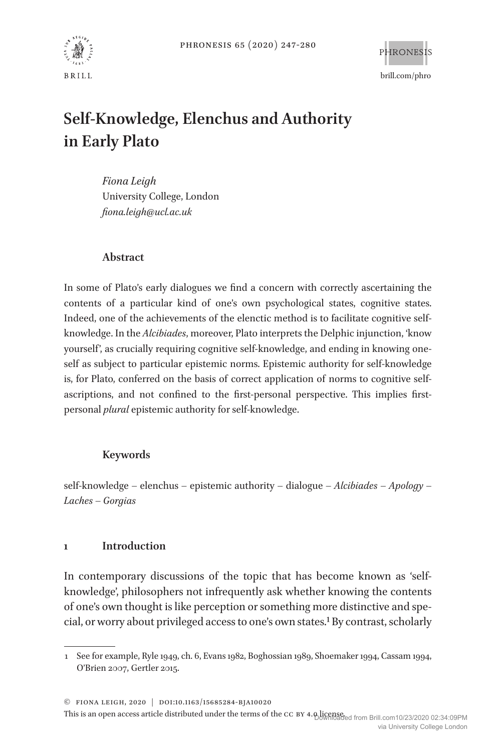



# **Self-Knowledge, Elenchus and Authority in Early Plato**

*Fiona Leigh* University College, London *fiona.leigh@ucl.ac.uk*

# **Abstract**

In some of Plato's early dialogues we find a concern with correctly ascertaining the contents of a particular kind of one's own psychological states, cognitive states. Indeed, one of the achievements of the elenctic method is to facilitate cognitive selfknowledge. In the *Alcibiades*, moreover, Plato interprets the Delphic injunction, 'know yourself', as crucially requiring cognitive self-knowledge, and ending in knowing oneself as subject to particular epistemic norms. Epistemic authority for self-knowledge is, for Plato, conferred on the basis of correct application of norms to cognitive selfascriptions, and not confined to the first-personal perspective. This implies firstpersonal *plural* epistemic authority for self-knowledge.

# **Keywords**

self-knowledge – elenchus – epistemic authority – dialogue – *Alcibiades* – *Apology* – *Laches* – *Gorgias*

# **1 Introduction**

In contemporary discussions of the topic that has become known as 'selfknowledge', philosophers not infrequently ask whether knowing the contents of one's own thought is like perception or something more distinctive and special, or worry about privileged access to one's own states.1 By contrast, scholarly

© Fiona Leigh, 2020 | doi:10.1163/15685284-bja10020

This is an open access article distributed under the terms of the CC BY 4.0  $_{\rm UGRD8Ced}$  from Brill.com10/23/2020 02:34:09PM via University College London

<sup>1</sup> See for example, Ryle 1949, ch. 6, Evans 1982, Boghossian 1989, Shoemaker 1994, Cassam 1994, O'Brien 2007, Gertler 2015.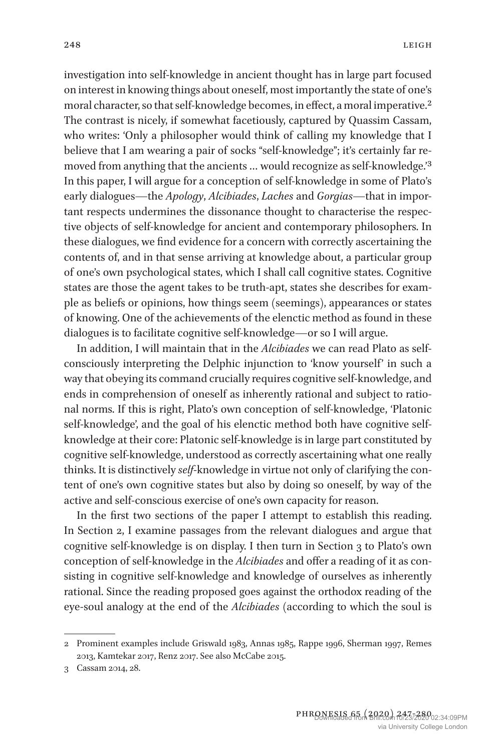investigation into self-knowledge in ancient thought has in large part focused on interest in knowing things about oneself, most importantly the state of one's moral character, so that self-knowledge becomes, in effect, a moral imperative.2 The contrast is nicely, if somewhat facetiously, captured by Quassim Cassam, who writes: 'Only a philosopher would think of calling my knowledge that I believe that I am wearing a pair of socks "self-knowledge"; it's certainly far removed from anything that the ancients … would recognize as self-knowledge.'3 In this paper, I will argue for a conception of self-knowledge in some of Plato's early dialogues—the *Apology*, *Alcibiades*, *Laches* and *Gorgias*—that in important respects undermines the dissonance thought to characterise the respective objects of self-knowledge for ancient and contemporary philosophers. In these dialogues, we find evidence for a concern with correctly ascertaining the contents of, and in that sense arriving at knowledge about, a particular group of one's own psychological states, which I shall call cognitive states. Cognitive states are those the agent takes to be truth-apt, states she describes for example as beliefs or opinions, how things seem (seemings), appearances or states of knowing. One of the achievements of the elenctic method as found in these dialogues is to facilitate cognitive self-knowledge—or so I will argue.

In addition, I will maintain that in the *Alcibiades* we can read Plato as selfconsciously interpreting the Delphic injunction to 'know yourself' in such a way that obeying its command crucially requires cognitive self-knowledge, and ends in comprehension of oneself as inherently rational and subject to rational norms. If this is right, Plato's own conception of self-knowledge, 'Platonic self-knowledge', and the goal of his elenctic method both have cognitive selfknowledge at their core: Platonic self-knowledge is in large part constituted by cognitive self-knowledge, understood as correctly ascertaining what one really thinks. It is distinctively *self*-knowledge in virtue not only of clarifying the content of one's own cognitive states but also by doing so oneself, by way of the active and self-conscious exercise of one's own capacity for reason.

In the first two sections of the paper I attempt to establish this reading. In Section 2, I examine passages from the relevant dialogues and argue that cognitive self-knowledge is on display. I then turn in Section 3 to Plato's own conception of self-knowledge in the *Alcibiades* and offer a reading of it as consisting in cognitive self-knowledge and knowledge of ourselves as inherently rational. Since the reading proposed goes against the orthodox reading of the eye-soul analogy at the end of the *Alcibiades* (according to which the soul is

<sup>2</sup> Prominent examples include Griswald 1983, Annas 1985, Rappe 1996, Sherman 1997, Remes 2013, Kamtekar 2017, Renz 2017. See also McCabe 2015.

<sup>3</sup> Cassam 2014, 28.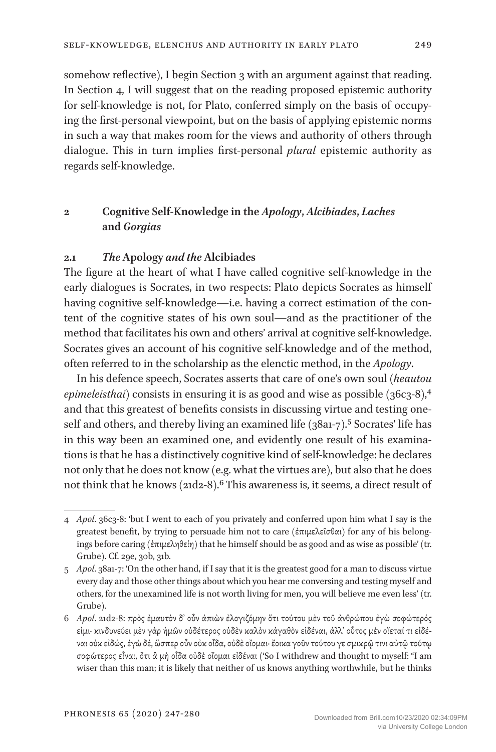for self-knowledge is not, for Plato, conferred simply on the basis of occupying the first-personal viewpoint, but on the basis of applying epistemic norms in such a way that makes room for the views and authority of others through dialogue. This in turn implies first-personal *plural* epistemic authority as regards self-knowledge.

# **2 Cognitive Self-Knowledge in the** *Apology***,** *Alcibiades***,** *Laches* **and** *Gorgias*

### **2.1** *The* **Apology** *and the* **Alcibiades**

The figure at the heart of what I have called cognitive self-knowledge in the early dialogues is Socrates, in two respects: Plato depicts Socrates as himself having cognitive self-knowledge—i.e. having a correct estimation of the content of the cognitive states of his own soul—and as the practitioner of the method that facilitates his own and others' arrival at cognitive self-knowledge. Socrates gives an account of his cognitive self-knowledge and of the method, often referred to in the scholarship as the elenctic method, in the *Apology*.

In his defence speech, Socrates asserts that care of one's own soul (*heautou epimeleisthai*) consists in ensuring it is as good and wise as possible (36c3-8),<sup>4</sup> and that this greatest of benefits consists in discussing virtue and testing oneself and others, and thereby living an examined life (38a1-7).<sup>5</sup> Socrates' life has in this way been an examined one, and evidently one result of his examinations is that he has a distinctively cognitive kind of self-knowledge: he declares not only that he does not know (e.g. what the virtues are), but also that he does not think that he knows (21d2-8).6 This awareness is, it seems, a direct result of

<sup>4</sup>  *Apol*. 36c3-8: 'but I went to each of you privately and conferred upon him what I say is the greatest benefit, by trying to persuade him not to care (ἐπιμελεῖσθαι) for any of his belongings before caring (ἐπιμεληθείη) that he himself should be as good and as wise as possible' (tr. Grube). Cf. 29e, 30b, 31b.

<sup>5</sup>  *Apol*. 38a1-7: 'On the other hand, if I say that it is the greatest good for a man to discuss virtue every day and those other things about which you hear me conversing and testing myself and others, for the unexamined life is not worth living for men, you will believe me even less' (tr. Grube).

<sup>6</sup>  *Apol*. 21d2-8: πρὸς ἐμαυτὸν δ' οὖν ἀπιὼν ἐλογιζόμην ὅτι τούτου μὲν τοῦ ἀνθρώπου ἐγὼ σοφώτερός εἰμι· κινδυνεύει μὲν γὰρ ἡμῶν οὐδέτερος οὐδὲν καλὸν κἀγαθὸν εἰδέναι, ἀλλ' οὗτος μὲν οἴεταί τι εἰδέναι οὐκ εἰδώς, ἐγὼ δέ, ὥσπερ οὖν οὐκ οἶδα, οὐδὲ οἴομαι· ἔοικα γοῦν τούτου γε σμικρῷ τινι αὐτῷ τούτῳ σοφώτερος εἶναι, ὅτι ἃ μὴ οἶδα οὐδὲ οἴομαι εἰδέναι ('So I withdrew and thought to myself: "I am wiser than this man; it is likely that neither of us knows anything worthwhile, but he thinks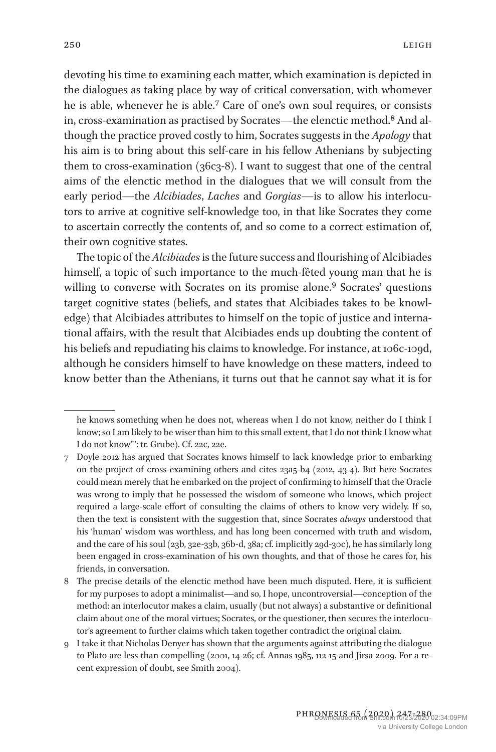devoting his time to examining each matter, which examination is depicted in the dialogues as taking place by way of critical conversation, with whomever he is able, whenever he is able.<sup>7</sup> Care of one's own soul requires, or consists in, cross-examination as practised by Socrates—the elenctic method.8 And although the practice proved costly to him, Socrates suggests in the *Apology* that his aim is to bring about this self-care in his fellow Athenians by subjecting them to cross-examination  $(36c3-8)$ . I want to suggest that one of the central aims of the elenctic method in the dialogues that we will consult from the early period—the *Alcibiades*, *Laches* and *Gorgias*—is to allow his interlocutors to arrive at cognitive self-knowledge too, in that like Socrates they come to ascertain correctly the contents of, and so come to a correct estimation of, their own cognitive states.

The topic of the *Alcibiades* is the future success and flourishing of Alcibiades himself, a topic of such importance to the much-fêted young man that he is willing to converse with Socrates on its promise alone.<sup>9</sup> Socrates' questions target cognitive states (beliefs, and states that Alcibiades takes to be knowledge) that Alcibiades attributes to himself on the topic of justice and international affairs, with the result that Alcibiades ends up doubting the content of his beliefs and repudiating his claims to knowledge. For instance, at 106c-109d, although he considers himself to have knowledge on these matters, indeed to know better than the Athenians, it turns out that he cannot say what it is for

he knows something when he does not, whereas when I do not know, neither do I think I know; so I am likely to be wiser than him to this small extent, that I do not think I know what I do not know": tr. Grube). Cf. 22c, 22e.

<sup>7</sup> Doyle 2012 has argued that Socrates knows himself to lack knowledge prior to embarking on the project of cross-examining others and cites 23a5-b4 (2012, 43-4). But here Socrates could mean merely that he embarked on the project of confirming to himself that the Oracle was wrong to imply that he possessed the wisdom of someone who knows, which project required a large-scale effort of consulting the claims of others to know very widely. If so, then the text is consistent with the suggestion that, since Socrates *always* understood that his 'human' wisdom was worthless, and has long been concerned with truth and wisdom, and the care of his soul (23b, 32e-33b, 36b-d, 38a; cf. implicitly 29d-30c), he has similarly long been engaged in cross-examination of his own thoughts, and that of those he cares for, his friends, in conversation.

<sup>8</sup> The precise details of the elenctic method have been much disputed. Here, it is sufficient for my purposes to adopt a minimalist—and so, I hope, uncontroversial—conception of the method: an interlocutor makes a claim, usually (but not always) a substantive or definitional claim about one of the moral virtues; Socrates, or the questioner, then secures the interlocutor's agreement to further claims which taken together contradict the original claim.

<sup>9</sup> I take it that Nicholas Denyer has shown that the arguments against attributing the dialogue to Plato are less than compelling (2001, 14-26; cf. Annas 1985, 112-15 and Jirsa 2009. For a recent expression of doubt, see Smith 2004).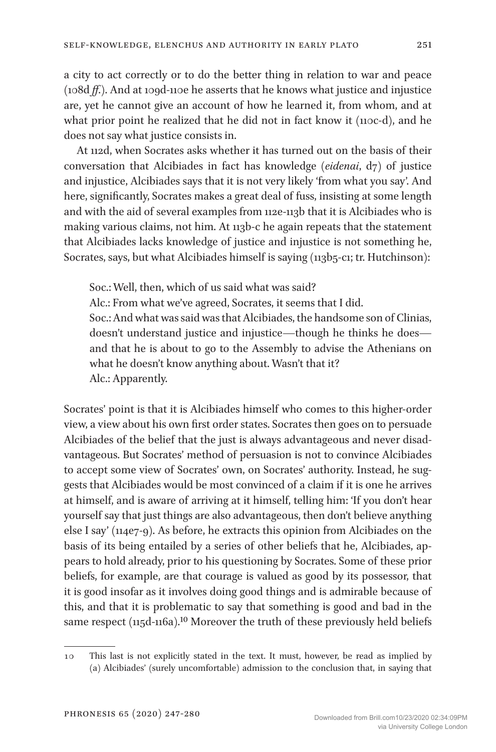a city to act correctly or to do the better thing in relation to war and peace (108d *ff*.). And at 109d-110e he asserts that he knows what justice and injustice are, yet he cannot give an account of how he learned it, from whom, and at what prior point he realized that he did not in fact know it (110c-d), and he does not say what justice consists in.

At 112d, when Socrates asks whether it has turned out on the basis of their conversation that Alcibiades in fact has knowledge (*eidenai*, d7) of justice and injustice, Alcibiades says that it is not very likely 'from what you say'. And here, significantly, Socrates makes a great deal of fuss, insisting at some length and with the aid of several examples from 112e-113b that it is Alcibiades who is making various claims, not him. At 113b-c he again repeats that the statement that Alcibiades lacks knowledge of justice and injustice is not something he, Socrates, says, but what Alcibiades himself is saying (113b5-c1; tr. Hutchinson):

Soc.: Well, then, which of us said what was said?

Alc.: From what we've agreed, Socrates, it seems that I did. Soc.: And what was said was that Alcibiades, the handsome son of Clinias, doesn't understand justice and injustice—though he thinks he does and that he is about to go to the Assembly to advise the Athenians on what he doesn't know anything about. Wasn't that it? Alc.: Apparently.

Socrates' point is that it is Alcibiades himself who comes to this higher-order view, a view about his own first order states. Socrates then goes on to persuade Alcibiades of the belief that the just is always advantageous and never disadvantageous. But Socrates' method of persuasion is not to convince Alcibiades to accept some view of Socrates' own, on Socrates' authority. Instead, he suggests that Alcibiades would be most convinced of a claim if it is one he arrives at himself, and is aware of arriving at it himself, telling him: 'If you don't hear yourself say that just things are also advantageous, then don't believe anything else I say' (114e7-9). As before, he extracts this opinion from Alcibiades on the basis of its being entailed by a series of other beliefs that he, Alcibiades, appears to hold already, prior to his questioning by Socrates. Some of these prior beliefs, for example, are that courage is valued as good by its possessor, that it is good insofar as it involves doing good things and is admirable because of this, and that it is problematic to say that something is good and bad in the same respect (115d-116a).<sup>10</sup> Moreover the truth of these previously held beliefs

<sup>10</sup> This last is not explicitly stated in the text. It must, however, be read as implied by (a) Alcibiades' (surely uncomfortable) admission to the conclusion that, in saying that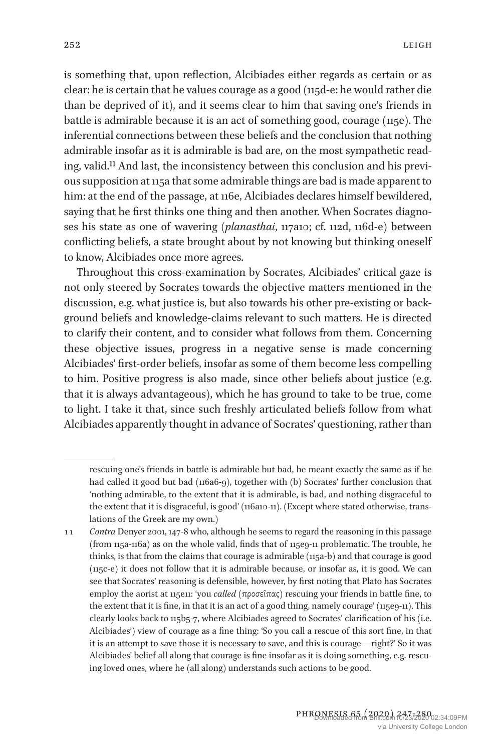is something that, upon reflection, Alcibiades either regards as certain or as clear: he is certain that he values courage as a good (115d-e: he would rather die than be deprived of it), and it seems clear to him that saving one's friends in battle is admirable because it is an act of something good, courage (115e). The inferential connections between these beliefs and the conclusion that nothing admirable insofar as it is admirable is bad are, on the most sympathetic reading, valid.11 And last, the inconsistency between this conclusion and his previous supposition at 115a that some admirable things are bad is made apparent to him: at the end of the passage, at 116e, Alcibiades declares himself bewildered, saying that he first thinks one thing and then another. When Socrates diagnoses his state as one of wavering (*planasthai*, 117a10; cf. 112d, 116d-e) between conflicting beliefs, a state brought about by not knowing but thinking oneself to know, Alcibiades once more agrees.

Throughout this cross-examination by Socrates, Alcibiades' critical gaze is not only steered by Socrates towards the objective matters mentioned in the discussion, e.g. what justice is, but also towards his other pre-existing or background beliefs and knowledge-claims relevant to such matters. He is directed to clarify their content, and to consider what follows from them. Concerning these objective issues, progress in a negative sense is made concerning Alcibiades' first-order beliefs, insofar as some of them become less compelling to him. Positive progress is also made, since other beliefs about justice (e.g. that it is always advantageous), which he has ground to take to be true, come to light. I take it that, since such freshly articulated beliefs follow from what Alcibiades apparently thought in advance of Socrates' questioning, rather than

rescuing one's friends in battle is admirable but bad, he meant exactly the same as if he had called it good but bad (116a6-9), together with (b) Socrates' further conclusion that 'nothing admirable, to the extent that it is admirable, is bad, and nothing disgraceful to the extent that it is disgraceful, is good' (116a10-11). (Except where stated otherwise, translations of the Greek are my own.)

<sup>11</sup>  *Contra* Denyer 2001, 147-8 who, although he seems to regard the reasoning in this passage (from 115a-116a) as on the whole valid, finds that of 115e9-11 problematic. The trouble, he thinks, is that from the claims that courage is admirable (115a-b) and that courage is good (115c-e) it does not follow that it is admirable because, or insofar as, it is good. We can see that Socrates' reasoning is defensible, however, by first noting that Plato has Socrates employ the aorist at 115e11: 'you *called* (προσεῖπας) rescuing your friends in battle fine, to the extent that it is fine, in that it is an act of a good thing, namely courage' (115e9-11). This clearly looks back to 115b5-7, where Alcibiades agreed to Socrates' clarification of his (i.e. Alcibiades') view of courage as a fine thing: 'So you call a rescue of this sort fine, in that it is an attempt to save those it is necessary to save, and this is courage—right?' So it was Alcibiades' belief all along that courage is fine insofar as it is doing something, e.g. rescuing loved ones, where he (all along) understands such actions to be good.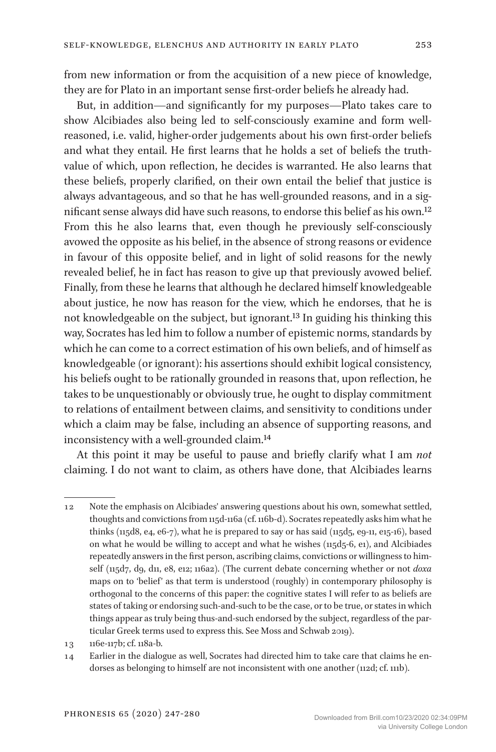from new information or from the acquisition of a new piece of knowledge, they are for Plato in an important sense first-order beliefs he already had.

But, in addition—and significantly for my purposes—Plato takes care to show Alcibiades also being led to self-consciously examine and form wellreasoned, i.e. valid, higher-order judgements about his own first-order beliefs and what they entail. He first learns that he holds a set of beliefs the truthvalue of which, upon reflection, he decides is warranted. He also learns that these beliefs, properly clarified, on their own entail the belief that justice is always advantageous, and so that he has well-grounded reasons, and in a significant sense always did have such reasons, to endorse this belief as his own.12 From this he also learns that, even though he previously self-consciously avowed the opposite as his belief, in the absence of strong reasons or evidence in favour of this opposite belief, and in light of solid reasons for the newly revealed belief, he in fact has reason to give up that previously avowed belief. Finally, from these he learns that although he declared himself knowledgeable about justice, he now has reason for the view, which he endorses, that he is not knowledgeable on the subject, but ignorant.13 In guiding his thinking this way, Socrates has led him to follow a number of epistemic norms, standards by which he can come to a correct estimation of his own beliefs, and of himself as knowledgeable (or ignorant): his assertions should exhibit logical consistency, his beliefs ought to be rationally grounded in reasons that, upon reflection, he takes to be unquestionably or obviously true, he ought to display commitment to relations of entailment between claims, and sensitivity to conditions under which a claim may be false, including an absence of supporting reasons, and inconsistency with a well-grounded claim.14

At this point it may be useful to pause and briefly clarify what I am *not* claiming. I do not want to claim, as others have done, that Alcibiades learns

<sup>12</sup> Note the emphasis on Alcibiades' answering questions about his own, somewhat settled, thoughts and convictions from 115d-116a (cf. 116b-d). Socrates repeatedly asks him what he thinks (115d8, e4, e6-7), what he is prepared to say or has said (115d5, e9-11, e15-16), based on what he would be willing to accept and what he wishes (115d5-6, e1), and Alcibiades repeatedly answers in the first person, ascribing claims, convictions or willingness to himself (115d7, d9, d11, e8, e12; 116a2). (The current debate concerning whether or not *doxa* maps on to 'belief' as that term is understood (roughly) in contemporary philosophy is orthogonal to the concerns of this paper: the cognitive states I will refer to as beliefs are states of taking or endorsing such-and-such to be the case, or to be true, or states in which things appear as truly being thus-and-such endorsed by the subject, regardless of the particular Greek terms used to express this. See Moss and Schwab 2019).

<sup>13 116</sup>e-117b; cf. 118a-b.

<sup>14</sup> Earlier in the dialogue as well, Socrates had directed him to take care that claims he endorses as belonging to himself are not inconsistent with one another (112d; cf. 111b).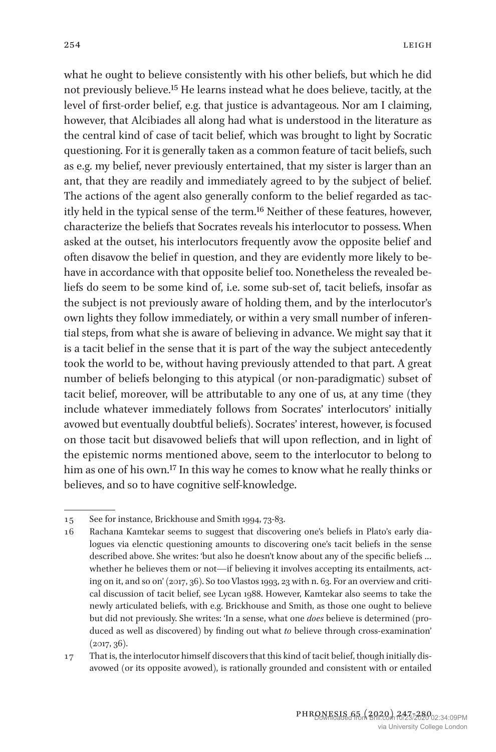what he ought to believe consistently with his other beliefs, but which he did not previously believe.15 He learns instead what he does believe, tacitly, at the level of first-order belief, e.g. that justice is advantageous. Nor am I claiming, however, that Alcibiades all along had what is understood in the literature as the central kind of case of tacit belief, which was brought to light by Socratic questioning. For it is generally taken as a common feature of tacit beliefs, such as e.g. my belief, never previously entertained, that my sister is larger than an ant, that they are readily and immediately agreed to by the subject of belief. The actions of the agent also generally conform to the belief regarded as tacitly held in the typical sense of the term.16 Neither of these features, however, characterize the beliefs that Socrates reveals his interlocutor to possess. When asked at the outset, his interlocutors frequently avow the opposite belief and often disavow the belief in question, and they are evidently more likely to behave in accordance with that opposite belief too. Nonetheless the revealed beliefs do seem to be some kind of, i.e. some sub-set of, tacit beliefs, insofar as the subject is not previously aware of holding them, and by the interlocutor's own lights they follow immediately, or within a very small number of inferential steps, from what she is aware of believing in advance. We might say that it is a tacit belief in the sense that it is part of the way the subject antecedently took the world to be, without having previously attended to that part. A great number of beliefs belonging to this atypical (or non-paradigmatic) subset of tacit belief, moreover, will be attributable to any one of us, at any time (they include whatever immediately follows from Socrates' interlocutors' initially avowed but eventually doubtful beliefs). Socrates' interest, however, is focused on those tacit but disavowed beliefs that will upon reflection, and in light of the epistemic norms mentioned above, seem to the interlocutor to belong to him as one of his own.<sup>17</sup> In this way he comes to know what he really thinks or believes, and so to have cognitive self-knowledge.

<sup>15</sup> See for instance, Brickhouse and Smith 1994, 73-83.

<sup>16</sup> Rachana Kamtekar seems to suggest that discovering one's beliefs in Plato's early dialogues via elenctic questioning amounts to discovering one's tacit beliefs in the sense described above. She writes: 'but also he doesn't know about any of the specific beliefs … whether he believes them or not—if believing it involves accepting its entailments, acting on it, and so on' (2017, 36). So too Vlastos 1993, 23 with n. 63. For an overview and critical discussion of tacit belief, see Lycan 1988. However, Kamtekar also seems to take the newly articulated beliefs, with e.g. Brickhouse and Smith, as those one ought to believe but did not previously. She writes: 'In a sense, what one *does* believe is determined (produced as well as discovered) by finding out what *to* believe through cross-examination' (2017, 36).

<sup>17</sup> That is, the interlocutor himself discovers that this kind of tacit belief, though initially disavowed (or its opposite avowed), is rationally grounded and consistent with or entailed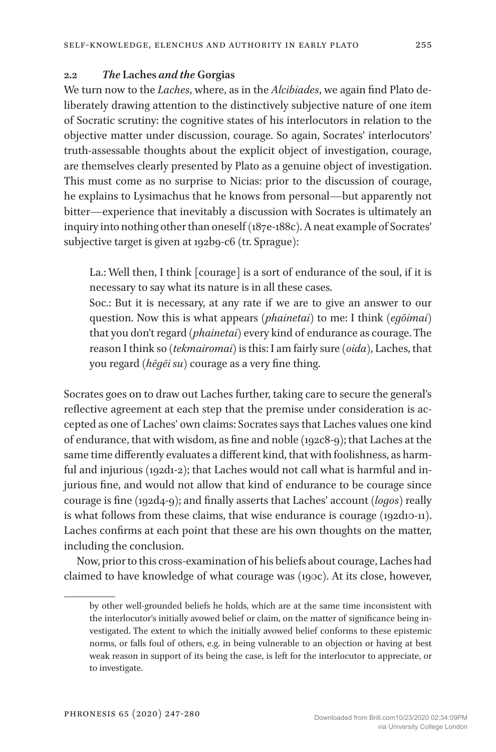#### **2.2** *The* **Laches** *and the* **Gorgias**

We turn now to the *Laches*, where, as in the *Alcibiades*, we again find Plato deliberately drawing attention to the distinctively subjective nature of one item of Socratic scrutiny: the cognitive states of his interlocutors in relation to the objective matter under discussion, courage. So again, Socrates' interlocutors' truth-assessable thoughts about the explicit object of investigation, courage, are themselves clearly presented by Plato as a genuine object of investigation. This must come as no surprise to Nicias: prior to the discussion of courage, he explains to Lysimachus that he knows from personal—but apparently not bitter—experience that inevitably a discussion with Socrates is ultimately an inquiry into nothing other than oneself (187e-188c). A neat example of Socrates' subjective target is given at 192b9-c6 (tr. Sprague):

La.: Well then, I think [courage] is a sort of endurance of the soul, if it is necessary to say what its nature is in all these cases.

Soc.: But it is necessary, at any rate if we are to give an answer to our question. Now this is what appears (*phainetai*) to me: I think (*egōimai*) that you don't regard (*phainetai*) every kind of endurance as courage. The reason I think so (*tekmairomai*) is this: I am fairly sure (*oida*), Laches, that you regard (*hēgēi su*) courage as a very fine thing.

Socrates goes on to draw out Laches further, taking care to secure the general's reflective agreement at each step that the premise under consideration is accepted as one of Laches' own claims: Socrates says that Laches values one kind of endurance, that with wisdom, as fine and noble (192c8-9); that Laches at the same time differently evaluates a different kind, that with foolishness, as harmful and injurious (192d1-2); that Laches would not call what is harmful and injurious fine, and would not allow that kind of endurance to be courage since courage is fine (192d4-9); and finally asserts that Laches' account (*logos*) really is what follows from these claims, that wise endurance is courage (192d10-11). Laches confirms at each point that these are his own thoughts on the matter, including the conclusion.

Now, prior to this cross-examination of his beliefs about courage, Laches had claimed to have knowledge of what courage was (190c). At its close, however,

by other well-grounded beliefs he holds, which are at the same time inconsistent with the interlocutor's initially avowed belief or claim, on the matter of significance being investigated. The extent to which the initially avowed belief conforms to these epistemic norms, or falls foul of others, e.g. in being vulnerable to an objection or having at best weak reason in support of its being the case, is left for the interlocutor to appreciate, or to investigate.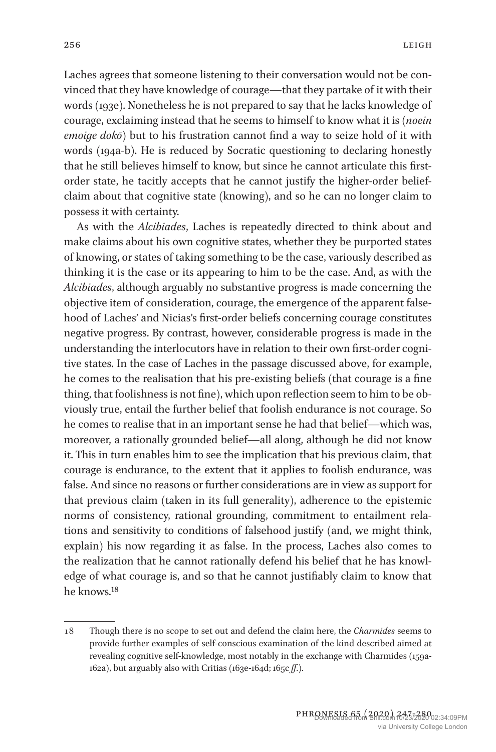Laches agrees that someone listening to their conversation would not be convinced that they have knowledge of courage—that they partake of it with their words (193e). Nonetheless he is not prepared to say that he lacks knowledge of courage, exclaiming instead that he seems to himself to know what it is (*noein emoige dokō*) but to his frustration cannot find a way to seize hold of it with words (194a-b). He is reduced by Socratic questioning to declaring honestly that he still believes himself to know, but since he cannot articulate this firstorder state, he tacitly accepts that he cannot justify the higher-order beliefclaim about that cognitive state (knowing), and so he can no longer claim to possess it with certainty.

As with the *Alcibiades*, Laches is repeatedly directed to think about and make claims about his own cognitive states, whether they be purported states of knowing, or states of taking something to be the case, variously described as thinking it is the case or its appearing to him to be the case. And, as with the *Alcibiades*, although arguably no substantive progress is made concerning the objective item of consideration, courage, the emergence of the apparent falsehood of Laches' and Nicias's first-order beliefs concerning courage constitutes negative progress. By contrast, however, considerable progress is made in the understanding the interlocutors have in relation to their own first-order cognitive states. In the case of Laches in the passage discussed above, for example, he comes to the realisation that his pre-existing beliefs (that courage is a fine thing, that foolishness is not fine), which upon reflection seem to him to be obviously true, entail the further belief that foolish endurance is not courage. So he comes to realise that in an important sense he had that belief—which was, moreover, a rationally grounded belief—all along, although he did not know it. This in turn enables him to see the implication that his previous claim, that courage is endurance, to the extent that it applies to foolish endurance, was false. And since no reasons or further considerations are in view as support for that previous claim (taken in its full generality), adherence to the epistemic norms of consistency, rational grounding, commitment to entailment relations and sensitivity to conditions of falsehood justify (and, we might think, explain) his now regarding it as false. In the process, Laches also comes to the realization that he cannot rationally defend his belief that he has knowledge of what courage is, and so that he cannot justifiably claim to know that he knows.18

<sup>18</sup> Though there is no scope to set out and defend the claim here, the *Charmides* seems to provide further examples of self-conscious examination of the kind described aimed at revealing cognitive self-knowledge, most notably in the exchange with Charmides (159a-162a), but arguably also with Critias (163e-164d; 165c *ff*.).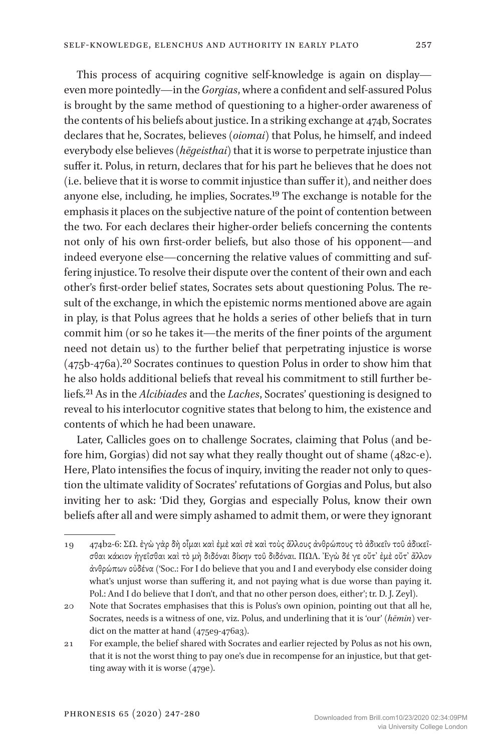This process of acquiring cognitive self-knowledge is again on display even more pointedly—in the *Gorgias*, where a confident and self-assured Polus is brought by the same method of questioning to a higher-order awareness of the contents of his beliefs about justice. In a striking exchange at 474b, Socrates declares that he, Socrates, believes (*oiomai*) that Polus, he himself, and indeed everybody else believes (*hēgeisthai*) that it is worse to perpetrate injustice than suffer it. Polus, in return, declares that for his part he believes that he does not (i.e. believe that it is worse to commit injustice than suffer it), and neither does anyone else, including, he implies, Socrates.19 The exchange is notable for the emphasis it places on the subjective nature of the point of contention between the two. For each declares their higher-order beliefs concerning the contents not only of his own first-order beliefs, but also those of his opponent—and indeed everyone else—concerning the relative values of committing and suffering injustice. To resolve their dispute over the content of their own and each other's first-order belief states, Socrates sets about questioning Polus. The result of the exchange, in which the epistemic norms mentioned above are again in play, is that Polus agrees that he holds a series of other beliefs that in turn commit him (or so he takes it—the merits of the finer points of the argument need not detain us) to the further belief that perpetrating injustice is worse (475b-476a).20 Socrates continues to question Polus in order to show him that he also holds additional beliefs that reveal his commitment to still further beliefs.21 As in the *Alcibiades* and the *Laches*, Socrates' questioning is designed to reveal to his interlocutor cognitive states that belong to him, the existence and contents of which he had been unaware.

Later, Callicles goes on to challenge Socrates, claiming that Polus (and before him, Gorgias) did not say what they really thought out of shame (482c-e). Here, Plato intensifies the focus of inquiry, inviting the reader not only to question the ultimate validity of Socrates' refutations of Gorgias and Polus, but also inviting her to ask: 'Did they, Gorgias and especially Polus, know their own beliefs after all and were simply ashamed to admit them, or were they ignorant

<sup>19 474</sup>b2-6: ΣΩ. ἐγὼ γὰρ δὴ οἶμαι καὶ ἐμὲ καὶ σὲ καὶ τοὺς ἄλλους ἀνθρώπους τὸ ἀδικεῖν τοῦ ἀδικεῖσθαι κάκιον ἡγεῖσθαι καὶ τὸ μὴ διδόναι δίκην τοῦ διδόναι. ΠΩΛ. Ἐγὼ δέ γε οὔτ' ἐμὲ οὔτ' ἄλλον ἀνθρώπων οὐδένα ('Soc.: For I do believe that you and I and everybody else consider doing what's unjust worse than suffering it, and not paying what is due worse than paying it. Pol.: And I do believe that I don't, and that no other person does, either'; tr. D. J. Zeyl).

<sup>20</sup> Note that Socrates emphasises that this is Polus's own opinion, pointing out that all he, Socrates, needs is a witness of one, viz. Polus, and underlining that it is 'our' (*hēmin*) verdict on the matter at hand (475e9-476a3).

<sup>21</sup> For example, the belief shared with Socrates and earlier rejected by Polus as not his own, that it is not the worst thing to pay one's due in recompense for an injustice, but that getting away with it is worse (479e).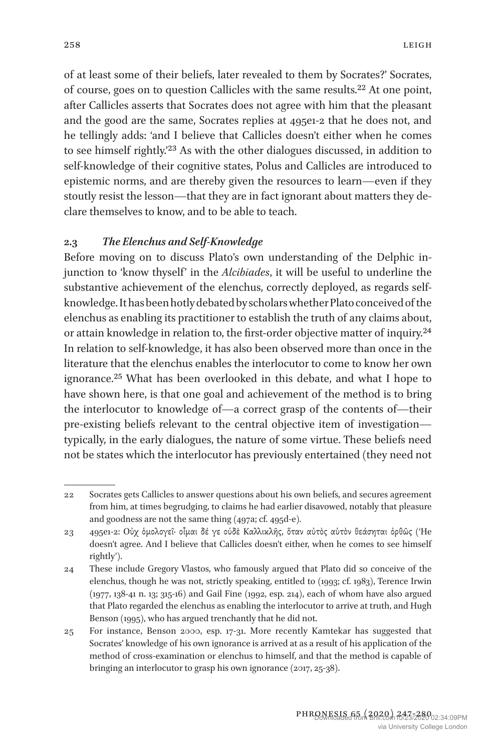of at least some of their beliefs, later revealed to them by Socrates?' Socrates, of course, goes on to question Callicles with the same results.22 At one point, after Callicles asserts that Socrates does not agree with him that the pleasant and the good are the same, Socrates replies at 495e1-2 that he does not, and he tellingly adds: 'and I believe that Callicles doesn't either when he comes to see himself rightly.'23 As with the other dialogues discussed, in addition to self-knowledge of their cognitive states, Polus and Callicles are introduced to epistemic norms, and are thereby given the resources to learn—even if they stoutly resist the lesson—that they are in fact ignorant about matters they declare themselves to know, and to be able to teach.

#### **2.3** *The Elenchus and Self-Knowledge*

Before moving on to discuss Plato's own understanding of the Delphic injunction to 'know thyself' in the *Alcibiades*, it will be useful to underline the substantive achievement of the elenchus, correctly deployed, as regards selfknowledge. It has been hotly debated by scholars whether Plato conceived of the elenchus as enabling its practitioner to establish the truth of any claims about, or attain knowledge in relation to, the first-order objective matter of inquiry.<sup>24</sup> In relation to self-knowledge, it has also been observed more than once in the literature that the elenchus enables the interlocutor to come to know her own ignorance.25 What has been overlooked in this debate, and what I hope to have shown here, is that one goal and achievement of the method is to bring the interlocutor to knowledge of—a correct grasp of the contents of—their pre-existing beliefs relevant to the central objective item of investigation typically, in the early dialogues, the nature of some virtue. These beliefs need not be states which the interlocutor has previously entertained (they need not

<sup>22</sup> Socrates gets Callicles to answer questions about his own beliefs, and secures agreement from him, at times begrudging, to claims he had earlier disavowed, notably that pleasure and goodness are not the same thing (497a; cf. 495d-e).

<sup>23 495</sup>e1-2: Οὐχ ὁμολογεῖ· οἶμαι δέ γε οὐδὲ Καλλικλῆς, ὅταν αὐτὸς αὑτὸν θεάσηται ὀρθῶς ('He doesn't agree. And I believe that Callicles doesn't either, when he comes to see himself rightly').

<sup>24</sup> These include Gregory Vlastos, who famously argued that Plato did so conceive of the elenchus, though he was not, strictly speaking, entitled to (1993; cf. 1983), Terence Irwin (1977, 138-41 n. 13; 315-16) and Gail Fine (1992, esp. 214), each of whom have also argued that Plato regarded the elenchus as enabling the interlocutor to arrive at truth, and Hugh Benson (1995), who has argued trenchantly that he did not.

<sup>25</sup> For instance, Benson 2000, esp. 17-31. More recently Kamtekar has suggested that Socrates' knowledge of his own ignorance is arrived at as a result of his application of the method of cross-examination or elenchus to himself, and that the method is capable of bringing an interlocutor to grasp his own ignorance (2017, 25-38).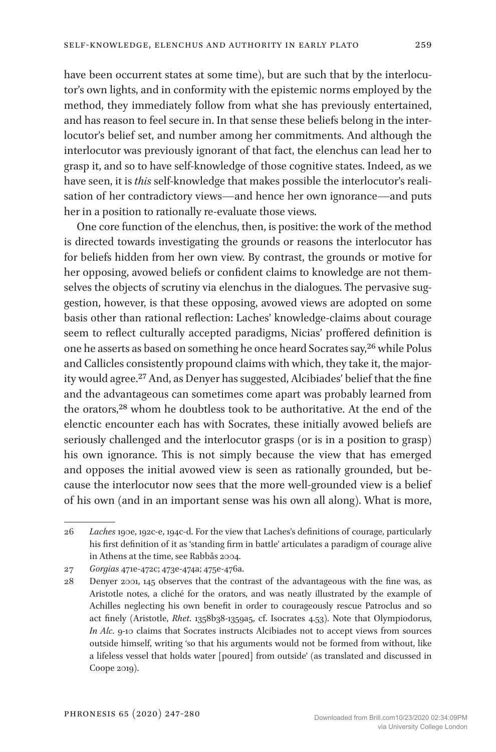have been occurrent states at some time), but are such that by the interlocutor's own lights, and in conformity with the epistemic norms employed by the method, they immediately follow from what she has previously entertained, and has reason to feel secure in. In that sense these beliefs belong in the interlocutor's belief set, and number among her commitments. And although the interlocutor was previously ignorant of that fact, the elenchus can lead her to grasp it, and so to have self-knowledge of those cognitive states. Indeed, as we have seen, it is *this* self-knowledge that makes possible the interlocutor's realisation of her contradictory views—and hence her own ignorance—and puts her in a position to rationally re-evaluate those views.

One core function of the elenchus, then, is positive: the work of the method is directed towards investigating the grounds or reasons the interlocutor has for beliefs hidden from her own view. By contrast, the grounds or motive for her opposing, avowed beliefs or confident claims to knowledge are not themselves the objects of scrutiny via elenchus in the dialogues. The pervasive suggestion, however, is that these opposing, avowed views are adopted on some basis other than rational reflection: Laches' knowledge-claims about courage seem to reflect culturally accepted paradigms, Nicias' proffered definition is one he asserts as based on something he once heard Socrates say,26 while Polus and Callicles consistently propound claims with which, they take it, the majority would agree.27 And, as Denyer has suggested, Alcibiades' belief that the fine and the advantageous can sometimes come apart was probably learned from the orators,<sup>28</sup> whom he doubtless took to be authoritative. At the end of the elenctic encounter each has with Socrates, these initially avowed beliefs are seriously challenged and the interlocutor grasps (or is in a position to grasp) his own ignorance. This is not simply because the view that has emerged and opposes the initial avowed view is seen as rationally grounded, but because the interlocutor now sees that the more well-grounded view is a belief of his own (and in an important sense was his own all along). What is more,

<sup>26</sup>  *Laches* 190e, 192c-e, 194c-d. For the view that Laches's definitions of courage, particularly his first definition of it as 'standing firm in battle' articulates a paradigm of courage alive in Athens at the time, see Rabbås 2004.

<sup>27</sup>  *Gorgias* 471e-472c; 473e-474a; 475e-476a.

<sup>28</sup> Denyer 2001, 145 observes that the contrast of the advantageous with the fine was, as Aristotle notes, a cliché for the orators, and was neatly illustrated by the example of Achilles neglecting his own benefit in order to courageously rescue Patroclus and so act finely (Aristotle, *Rhet*. 1358b38-1359a5, cf. Isocrates 4.53). Note that Olympiodorus, *In Alc*. 9-10 claims that Socrates instructs Alcibiades not to accept views from sources outside himself, writing 'so that his arguments would not be formed from without, like a lifeless vessel that holds water [poured] from outside' (as translated and discussed in Coope 2019).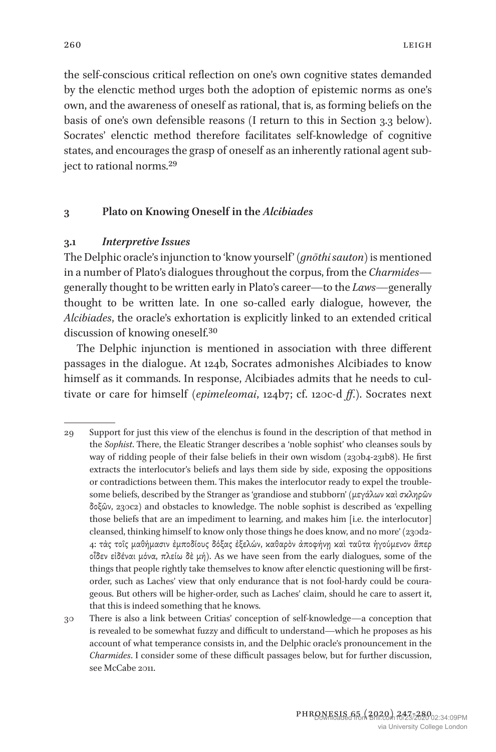the self-conscious critical reflection on one's own cognitive states demanded by the elenctic method urges both the adoption of epistemic norms as one's own, and the awareness of oneself as rational, that is, as forming beliefs on the basis of one's own defensible reasons (I return to this in Section 3.3 below). Socrates' elenctic method therefore facilitates self-knowledge of cognitive states, and encourages the grasp of oneself as an inherently rational agent subject to rational norms.29

#### **3 Plato on Knowing Oneself in the** *Alcibiades*

#### **3.1** *Interpretive Issues*

The Delphic oracle's injunction to 'know yourself' (*gnōthi sauton*) is mentioned in a number of Plato's dialogues throughout the corpus, from the *Charmides* generally thought to be written early in Plato's career—to the *Laws*—generally thought to be written late. In one so-called early dialogue, however, the *Alcibiades*, the oracle's exhortation is explicitly linked to an extended critical discussion of knowing oneself.30

The Delphic injunction is mentioned in association with three different passages in the dialogue. At 124b, Socrates admonishes Alcibiades to know himself as it commands. In response, Alcibiades admits that he needs to cultivate or care for himself (*epimeleomai*, 124b7; cf. 120c-d *ff*.). Socrates next

<sup>29</sup> Support for just this view of the elenchus is found in the description of that method in the *Sophist*. There, the Eleatic Stranger describes a 'noble sophist' who cleanses souls by way of ridding people of their false beliefs in their own wisdom (230b4-231b8). He first extracts the interlocutor's beliefs and lays them side by side, exposing the oppositions or contradictions between them. This makes the interlocutor ready to expel the troublesome beliefs, described by the Stranger as 'grandiose and stubborn' (μεγάλων καὶ σκληρῶν δοξῶν, 230c2) and obstacles to knowledge. The noble sophist is described as 'expelling those beliefs that are an impediment to learning, and makes him [i.e. the interlocutor] cleansed, thinking himself to know only those things he does know, and no more' (230d2- 4: τὰς τοῖς μαθήμασιν ἐμποδίους δόξας ἐξελών, καθαρὸν ἀποφήνῃ καὶ ταῦτα ἡγούμενον ἅπερ οἶδεν εἰδέναι μόνα, πλείω δὲ μή). As we have seen from the early dialogues, some of the things that people rightly take themselves to know after elenctic questioning will be firstorder, such as Laches' view that only endurance that is not fool-hardy could be courageous. But others will be higher-order, such as Laches' claim, should he care to assert it, that this is indeed something that he knows.

<sup>30</sup> There is also a link between Critias' conception of self-knowledge—a conception that is revealed to be somewhat fuzzy and difficult to understand—which he proposes as his account of what temperance consists in, and the Delphic oracle's pronouncement in the *Charmides*. I consider some of these difficult passages below, but for further discussion, see McCabe 2011.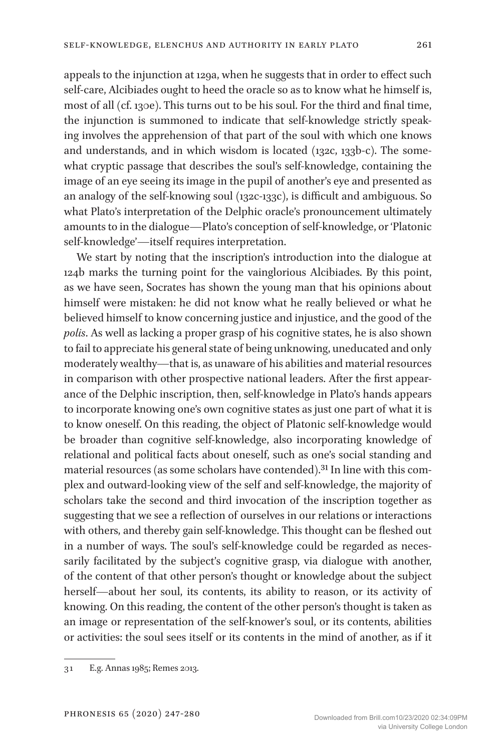appeals to the injunction at 129a, when he suggests that in order to effect such self-care, Alcibiades ought to heed the oracle so as to know what he himself is, most of all (cf. 130e). This turns out to be his soul. For the third and final time, the injunction is summoned to indicate that self-knowledge strictly speaking involves the apprehension of that part of the soul with which one knows and understands, and in which wisdom is located (132c, 133b-c). The somewhat cryptic passage that describes the soul's self-knowledge, containing the image of an eye seeing its image in the pupil of another's eye and presented as an analogy of the self-knowing soul (132c-133c), is difficult and ambiguous. So what Plato's interpretation of the Delphic oracle's pronouncement ultimately amounts to in the dialogue—Plato's conception of self-knowledge, or 'Platonic self-knowledge'—itself requires interpretation.

We start by noting that the inscription's introduction into the dialogue at 124b marks the turning point for the vainglorious Alcibiades. By this point, as we have seen, Socrates has shown the young man that his opinions about himself were mistaken: he did not know what he really believed or what he believed himself to know concerning justice and injustice, and the good of the *polis*. As well as lacking a proper grasp of his cognitive states, he is also shown to fail to appreciate his general state of being unknowing, uneducated and only moderately wealthy—that is, as unaware of his abilities and material resources in comparison with other prospective national leaders. After the first appearance of the Delphic inscription, then, self-knowledge in Plato's hands appears to incorporate knowing one's own cognitive states as just one part of what it is to know oneself. On this reading, the object of Platonic self-knowledge would be broader than cognitive self-knowledge, also incorporating knowledge of relational and political facts about oneself, such as one's social standing and material resources (as some scholars have contended).31 In line with this complex and outward-looking view of the self and self-knowledge, the majority of scholars take the second and third invocation of the inscription together as suggesting that we see a reflection of ourselves in our relations or interactions with others, and thereby gain self-knowledge. This thought can be fleshed out in a number of ways. The soul's self-knowledge could be regarded as necessarily facilitated by the subject's cognitive grasp, via dialogue with another, of the content of that other person's thought or knowledge about the subject herself—about her soul, its contents, its ability to reason, or its activity of knowing. On this reading, the content of the other person's thought is taken as an image or representation of the self-knower's soul, or its contents, abilities or activities: the soul sees itself or its contents in the mind of another, as if it

<sup>31</sup> E.g. Annas 1985; Remes 2013.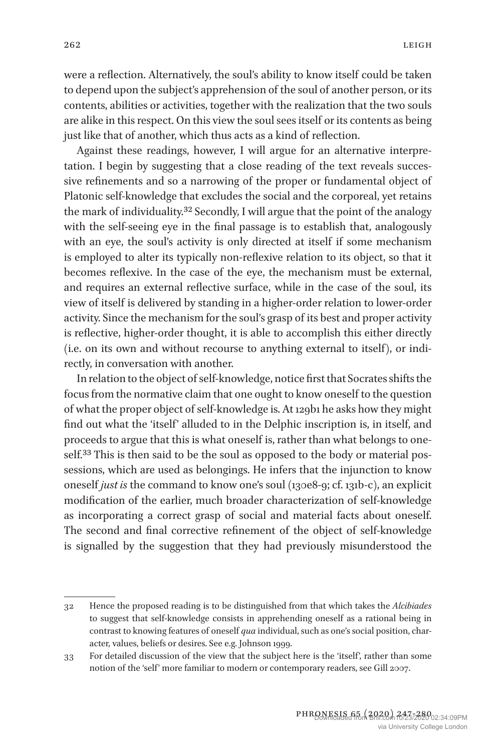were a reflection. Alternatively, the soul's ability to know itself could be taken to depend upon the subject's apprehension of the soul of another person, or its contents, abilities or activities, together with the realization that the two souls are alike in this respect. On this view the soul sees itself or its contents as being just like that of another, which thus acts as a kind of reflection.

Against these readings, however, I will argue for an alternative interpretation. I begin by suggesting that a close reading of the text reveals successive refinements and so a narrowing of the proper or fundamental object of Platonic self-knowledge that excludes the social and the corporeal, yet retains the mark of individuality.32 Secondly, I will argue that the point of the analogy with the self-seeing eye in the final passage is to establish that, analogously with an eye, the soul's activity is only directed at itself if some mechanism is employed to alter its typically non-reflexive relation to its object, so that it becomes reflexive. In the case of the eye, the mechanism must be external, and requires an external reflective surface, while in the case of the soul, its view of itself is delivered by standing in a higher-order relation to lower-order activity. Since the mechanism for the soul's grasp of its best and proper activity is reflective, higher-order thought, it is able to accomplish this either directly (i.e. on its own and without recourse to anything external to itself), or indirectly, in conversation with another.

In relation to the object of self-knowledge, notice first that Socrates shifts the focus from the normative claim that one ought to know oneself to the question of what the proper object of self-knowledge is. At 129b1 he asks how they might find out what the 'itself' alluded to in the Delphic inscription is, in itself, and proceeds to argue that this is what oneself is, rather than what belongs to oneself.33 This is then said to be the soul as opposed to the body or material possessions, which are used as belongings. He infers that the injunction to know oneself *just is* the command to know one's soul (130e8-9; cf. 131b-c), an explicit modification of the earlier, much broader characterization of self-knowledge as incorporating a correct grasp of social and material facts about oneself. The second and final corrective refinement of the object of self-knowledge is signalled by the suggestion that they had previously misunderstood the

<sup>32</sup> Hence the proposed reading is to be distinguished from that which takes the *Alcibiades* to suggest that self-knowledge consists in apprehending oneself as a rational being in contrast to knowing features of oneself *qua* individual, such as one's social position, character, values, beliefs or desires. See e.g. Johnson 1999.

<sup>33</sup> For detailed discussion of the view that the subject here is the 'itself', rather than some notion of the 'self' more familiar to modern or contemporary readers, see Gill 2007.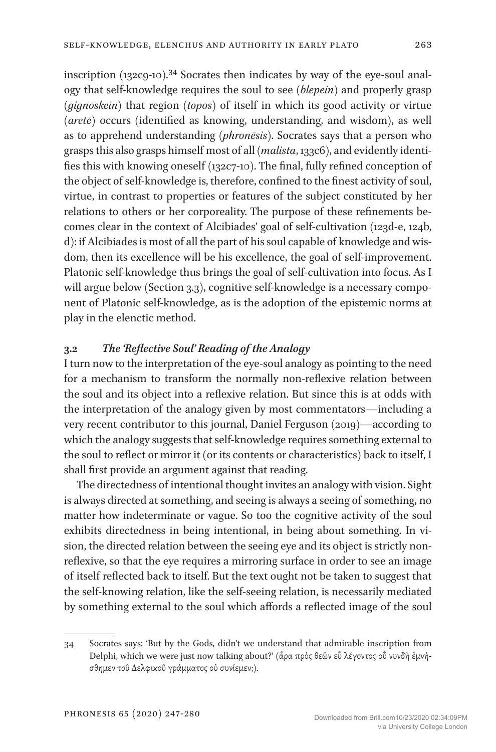inscription (132c9-10).34 Socrates then indicates by way of the eye-soul analogy that self-knowledge requires the soul to see (*blepein*) and properly grasp (*gignōskein*) that region (*topos*) of itself in which its good activity or virtue (*aretē*) occurs (identified as knowing, understanding, and wisdom), as well as to apprehend understanding (*phronēsis*). Socrates says that a person who grasps this also grasps himself most of all (*malista*, 133c6), and evidently identifies this with knowing oneself (132c7-10). The final, fully refined conception of the object of self-knowledge is, therefore, confined to the finest activity of soul, virtue, in contrast to properties or features of the subject constituted by her relations to others or her corporeality. The purpose of these refinements becomes clear in the context of Alcibiades' goal of self-cultivation (123d-e, 124b, d): if Alcibiades is most of all the part of his soul capable of knowledge and wisdom, then its excellence will be his excellence, the goal of self-improvement. Platonic self-knowledge thus brings the goal of self-cultivation into focus. As I will argue below (Section 3.3), cognitive self-knowledge is a necessary component of Platonic self-knowledge, as is the adoption of the epistemic norms at play in the elenctic method.

# **3.2** *The 'Reflective Soul' Reading of the Analogy*

I turn now to the interpretation of the eye-soul analogy as pointing to the need for a mechanism to transform the normally non-reflexive relation between the soul and its object into a reflexive relation. But since this is at odds with the interpretation of the analogy given by most commentators—including a very recent contributor to this journal, Daniel Ferguson (2019)—according to which the analogy suggests that self-knowledge requires something external to the soul to reflect or mirror it (or its contents or characteristics) back to itself, I shall first provide an argument against that reading.

The directedness of intentional thought invites an analogy with vision. Sight is always directed at something, and seeing is always a seeing of something, no matter how indeterminate or vague. So too the cognitive activity of the soul exhibits directedness in being intentional, in being about something. In vision, the directed relation between the seeing eye and its object is strictly nonreflexive, so that the eye requires a mirroring surface in order to see an image of itself reflected back to itself. But the text ought not be taken to suggest that the self-knowing relation, like the self-seeing relation, is necessarily mediated by something external to the soul which affords a reflected image of the soul

<sup>34</sup> Socrates says: 'But by the Gods, didn't we understand that admirable inscription from Delphi, which we were just now talking about?' (ἆρα πρὸς θεῶν εὖ λέγοντος οὗ νυνδὴ ἐμνήσθημεν τοῦ Δελφικοῦ γράμματος οὐ συνίεμεν;).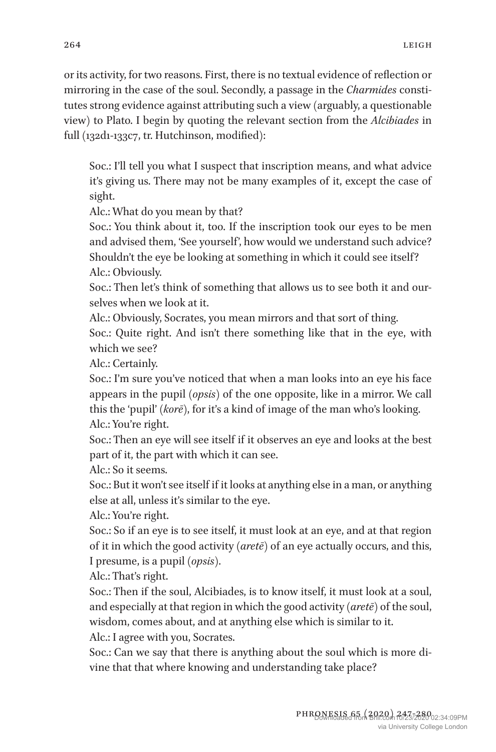or its activity, for two reasons. First, there is no textual evidence of reflection or mirroring in the case of the soul. Secondly, a passage in the *Charmides* constitutes strong evidence against attributing such a view (arguably, a questionable view) to Plato. I begin by quoting the relevant section from the *Alcibiades* in full (132d1-133c7, tr. Hutchinson, modified):

Soc.: I'll tell you what I suspect that inscription means, and what advice it's giving us. There may not be many examples of it, except the case of sight.

Alc.: What do you mean by that?

Soc.: You think about it, too. If the inscription took our eyes to be men and advised them, 'See yourself', how would we understand such advice? Shouldn't the eye be looking at something in which it could see itself? Alc.: Obviously.

Soc.: Then let's think of something that allows us to see both it and ourselves when we look at it.

Alc.: Obviously, Socrates, you mean mirrors and that sort of thing.

Soc.: Quite right. And isn't there something like that in the eye, with which we see?

Alc.: Certainly.

Soc.: I'm sure you've noticed that when a man looks into an eye his face appears in the pupil (*opsis*) of the one opposite, like in a mirror. We call this the 'pupil' (*korē*), for it's a kind of image of the man who's looking. Alc.: You're right.

Soc.: Then an eye will see itself if it observes an eye and looks at the best part of it, the part with which it can see.

Alc.: So it seems.

Soc.: But it won't see itself if it looks at anything else in a man, or anything else at all, unless it's similar to the eye.

Alc.: You're right.

Soc.: So if an eye is to see itself, it must look at an eye, and at that region of it in which the good activity (*aretē*) of an eye actually occurs, and this, I presume, is a pupil (*opsis*).

Alc.: That's right.

Soc.: Then if the soul, Alcibiades, is to know itself, it must look at a soul, and especially at that region in which the good activity (*aretē*) of the soul, wisdom, comes about, and at anything else which is similar to it.

Alc.: I agree with you, Socrates.

Soc.: Can we say that there is anything about the soul which is more divine that that where knowing and understanding take place?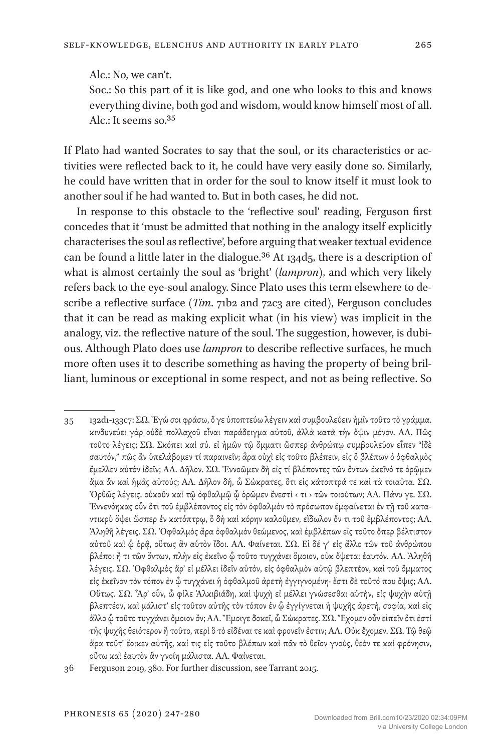Alc.: No, we can't.

Soc.: So this part of it is like god, and one who looks to this and knows everything divine, both god and wisdom, would know himself most of all. Alc.: It seems so.35

If Plato had wanted Socrates to say that the soul, or its characteristics or activities were reflected back to it, he could have very easily done so. Similarly, he could have written that in order for the soul to know itself it must look to another soul if he had wanted to. But in both cases, he did not.

In response to this obstacle to the 'reflective soul' reading, Ferguson first concedes that it 'must be admitted that nothing in the analogy itself explicitly characterises the soul as reflective', before arguing that weaker textual evidence can be found a little later in the dialogue.36 At 134d5, there is a description of what is almost certainly the soul as 'bright' (*lampron*), and which very likely refers back to the eye-soul analogy. Since Plato uses this term elsewhere to describe a reflective surface (*Tim.* 71b2 and 72c3 are cited), Ferguson concludes that it can be read as making explicit what (in his view) was implicit in the analogy, viz. the reflective nature of the soul. The suggestion, however, is dubious. Although Plato does use *lampron* to describe reflective surfaces, he much more often uses it to describe something as having the property of being brilliant, luminous or exceptional in some respect, and not as being reflective. So

<sup>35 132</sup>d1-133c7: ΣΩ. Ἐγώ σοι φράσω, ὅ γε ὑποπτεύω λέγειν καὶ συμβουλεύειν ἡμῖν τοῦτο τὸ γράμμα. κινδυνεύει γὰρ οὐδὲ πολλαχοῦ εἶναι παράδειγμα αὐτοῦ, ἀλλὰ κατὰ τὴν ὄψιν μόνον. ΑΛ. Πῶς τοῦτο λέγεις; ΣΩ. Σκόπει καὶ σύ. εἰ ἡμῶν τῷ ὄμματι ὥσπερ ἀνθρώπῳ συμβουλεῦον εἶπεν "ἰδὲ σαυτόν," πῶς ἂν ὑπελάβομεν τί παραινεῖν; ἆρα οὐχὶ εἰς τοῦτο βλέπειν, εἰς ὃ βλέπων ὁ ὀφθαλμὸς ἔμελλεν αὑτὸν ἰδεῖν; ΑΛ. Δῆλον. ΣΩ. Ἐννοῶμεν δὴ εἰς τί βλέποντες τῶν ὄντων ἐκεῖνό τε ὁρῷμεν ἅμα ἂν καὶ ἡμᾶς αὐτούς; ΑΛ. Δῆλον δή, ὦ Σώκρατες, ὅτι εἰς κάτοπτρά τε καὶ τὰ τοιαῦτα. ΣΩ. Ὀρθῶς λέγεις. οὐκοῦν καὶ τῷ ὀφθαλμῷ ᾧ ὁρῶμεν ἔνεστί ‹ τι › τῶν τοιούτων; ΑΛ. Πάνυ γε. ΣΩ. Ἐννενόηκας οὖν ὅτι τοῦ ἐμβλέποντος εἰς τὸν ὀφθαλμὸν τὸ πρόσωπον ἐμφαίνεται ἐν τῇ τοῦ καταντικρὺ ὄψει ὥσπερ ἐν κατόπτρῳ, ὃ δὴ καὶ κόρην καλοῦμεν, εἴδωλον ὄν τι τοῦ ἐμβλέποντος; ΑΛ. Ἀληθῆ λέγεις. ΣΩ. Ὀφθαλμὸς ἄρα ὀφθαλμὸν θεώμενος, καὶ ἐμβλέπων εἰς τοῦτο ὅπερ βέλτιστον αὐτοῦ καὶ ᾧ ὁρᾷ, οὕτως ἂν αὑτὸν ἴδοι. ΑΛ. Φαίνεται. ΣΩ. Εἰ δέ γ' εἰς ἄλλο τῶν τοῦ ἀνθρώπου βλέποι ἤ τι τῶν ὄντων, πλὴν εἰς ἐκεῖνο ᾧ τοῦτο τυγχάνει ὅμοιον, οὐκ ὄψεται ἑαυτόν. ΑΛ. Ἀληθῆ λέγεις. ΣΩ. Ὀφθαλμὸς ἄρ' εἰ μέλλει ἰδεῖν αὑτόν, εἰς ὀφθαλμὸν αὐτῷ βλεπτέον, καὶ τοῦ ὄμματος είς έκεῖνον τὸν τόπον ἐν ῷ τυγχάνει ἡ ὀφθαλμοῦ ἀρετὴ ἐγγιγνομένη· ἔστι δὲ τοῦτό που ὄψις; ΑΛ. Οὕτως. ΣΩ. Ἆρ' οὖν, ὦ φίλε Ἀλκιβιάδη, καὶ ψυχὴ εἰ μέλλει γνώσεσθαι αὑτήν, εἰς ψυχὴν αὐτῇ βλεπτέον, καὶ μάλιστ' εἰς τοῦτον αὐτῆς τὸν τόπον ἐν ᾧ ἐγγίγνεται ἡ ψυχῆς ἀρετή, σοφία, καὶ εἰς ἄλλο ᾧ τοῦτο τυγχάνει ὅμοιον ὄν; ΑΛ. Ἔμοιγε δοκεῖ, ὦ Σώκρατες. ΣΩ. Ἔχομεν οὖν εἰπεῖν ὅτι ἐστὶ τῆς ψυχῆς θειότερον ἢ τοῦτο, περὶ ὃ τὸ εἰδέναι τε καὶ φρονεῖν ἐστιν; ΑΛ. Οὐκ ἔχομεν. ΣΩ. Τῷ θεῷ ἄρα τοῦτ' ἔοικεν αὐτῆς, καί τις εἰς τοῦτο βλέπων καὶ πᾶν τὸ θεῖον γνούς, θεόν τε καὶ φρόνησιν, οὕτω καὶ ἑαυτὸν ἂν γνοίη μάλιστα. ΑΛ. Φαίνεται.

<sup>36</sup> Ferguson 2019, 380. For further discussion, see Tarrant 2015.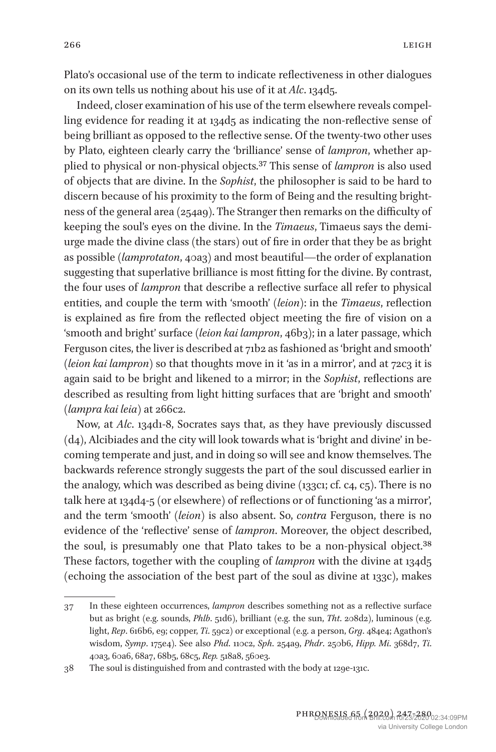Plato's occasional use of the term to indicate reflectiveness in other dialogues on its own tells us nothing about his use of it at *Alc*. 134d5.

Indeed, closer examination of his use of the term elsewhere reveals compelling evidence for reading it at 134d5 as indicating the non-reflective sense of being brilliant as opposed to the reflective sense. Of the twenty-two other uses by Plato, eighteen clearly carry the 'brilliance' sense of *lampron*, whether applied to physical or non-physical objects.37 This sense of *lampron* is also used of objects that are divine. In the *Sophist*, the philosopher is said to be hard to discern because of his proximity to the form of Being and the resulting brightness of the general area (254a9). The Stranger then remarks on the difficulty of keeping the soul's eyes on the divine. In the *Timaeus*, Timaeus says the demiurge made the divine class (the stars) out of fire in order that they be as bright as possible (*lamprotaton*, 40a3) and most beautiful—the order of explanation suggesting that superlative brilliance is most fitting for the divine. By contrast, the four uses of *lampron* that describe a reflective surface all refer to physical entities, and couple the term with 'smooth' (*leion*): in the *Timaeus*, reflection is explained as fire from the reflected object meeting the fire of vision on a 'smooth and bright' surface (*leion kai lampron*, 46b3); in a later passage, which Ferguson cites, the liver is described at 71b2 as fashioned as 'bright and smooth' (*leion kai lampron*) so that thoughts move in it 'as in a mirror', and at 72c3 it is again said to be bright and likened to a mirror; in the *Sophist*, reflections are described as resulting from light hitting surfaces that are 'bright and smooth' (*lampra kai leia*) at 266c2.

Now, at *Alc*. 134d1-8, Socrates says that, as they have previously discussed (d4), Alcibiades and the city will look towards what is 'bright and divine' in becoming temperate and just, and in doing so will see and know themselves. The backwards reference strongly suggests the part of the soul discussed earlier in the analogy, which was described as being divine (133c1; cf. c4, c5). There is no talk here at 134d4-5 (or elsewhere) of reflections or of functioning 'as a mirror', and the term 'smooth' (*leion*) is also absent. So, *contra* Ferguson, there is no evidence of the 'reflective' sense of *lampron*. Moreover, the object described, the soul, is presumably one that Plato takes to be a non-physical object.<sup>38</sup> These factors, together with the coupling of *lampron* with the divine at 134d5 (echoing the association of the best part of the soul as divine at 133c), makes

<sup>37</sup> In these eighteen occurrences, *lampron* describes something not as a reflective surface but as bright (e.g. sounds, *Phlb*. 51d6), brilliant (e.g. the sun, *Tht*. 208d2), luminous (e.g. light, *Rep*. 616b6, e9; copper, *Ti*. 59c2) or exceptional (e.g. a person, *Grg*. 484e4; Agathon's wisdom, *Symp*. 175e4). See also *Phd*. 110c2, *Sph*. 254a9, *Phdr*. 250b6, *Hipp. Mi*. 368d7, *Ti*. 40a3, 60a6, 68a7, 68b5, 68c5, *Rep.* 518a8, 560e3.

<sup>38</sup> The soul is distinguished from and contrasted with the body at 129e-131c.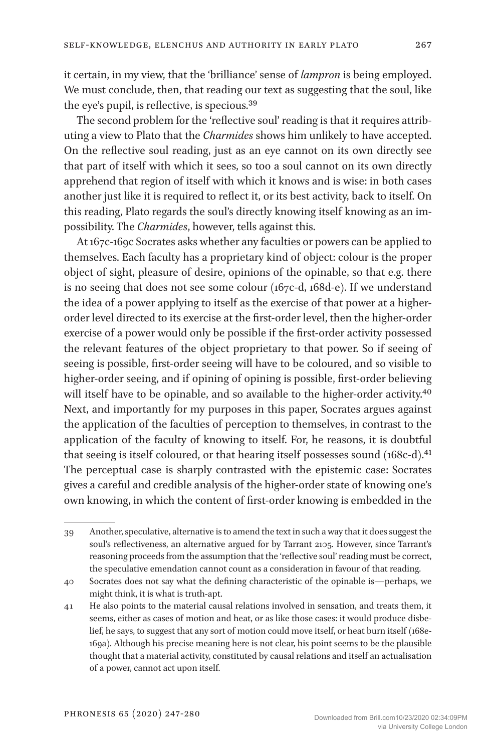it certain, in my view, that the 'brilliance' sense of *lampron* is being employed. We must conclude, then, that reading our text as suggesting that the soul, like the eye's pupil, is reflective, is specious.39

The second problem for the 'reflective soul' reading is that it requires attributing a view to Plato that the *Charmides* shows him unlikely to have accepted. On the reflective soul reading, just as an eye cannot on its own directly see that part of itself with which it sees, so too a soul cannot on its own directly apprehend that region of itself with which it knows and is wise: in both cases another just like it is required to reflect it, or its best activity, back to itself. On this reading, Plato regards the soul's directly knowing itself knowing as an impossibility. The *Charmides*, however, tells against this.

At 167c-169c Socrates asks whether any faculties or powers can be applied to themselves. Each faculty has a proprietary kind of object: colour is the proper object of sight, pleasure of desire, opinions of the opinable, so that e.g. there is no seeing that does not see some colour (167c-d, 168d-e). If we understand the idea of a power applying to itself as the exercise of that power at a higherorder level directed to its exercise at the first-order level, then the higher-order exercise of a power would only be possible if the first-order activity possessed the relevant features of the object proprietary to that power. So if seeing of seeing is possible, first-order seeing will have to be coloured, and so visible to higher-order seeing, and if opining of opining is possible, first-order believing will itself have to be opinable, and so available to the higher-order activity.<sup>40</sup> Next, and importantly for my purposes in this paper, Socrates argues against the application of the faculties of perception to themselves, in contrast to the application of the faculty of knowing to itself. For, he reasons, it is doubtful that seeing is itself coloured, or that hearing itself possesses sound (168c-d).<sup>41</sup> The perceptual case is sharply contrasted with the epistemic case: Socrates gives a careful and credible analysis of the higher-order state of knowing one's own knowing, in which the content of first-order knowing is embedded in the

<sup>39</sup> Another, speculative, alternative is to amend the text in such a way that it does suggest the soul's reflectiveness, an alternative argued for by Tarrant 2105. However, since Tarrant's reasoning proceeds from the assumption that the 'reflective soul' reading must be correct, the speculative emendation cannot count as a consideration in favour of that reading.

<sup>40</sup> Socrates does not say what the defining characteristic of the opinable is—perhaps, we might think, it is what is truth-apt.

<sup>41</sup> He also points to the material causal relations involved in sensation, and treats them, it seems, either as cases of motion and heat, or as like those cases: it would produce disbelief, he says, to suggest that any sort of motion could move itself, or heat burn itself (168e-169a). Although his precise meaning here is not clear, his point seems to be the plausible thought that a material activity, constituted by causal relations and itself an actualisation of a power, cannot act upon itself.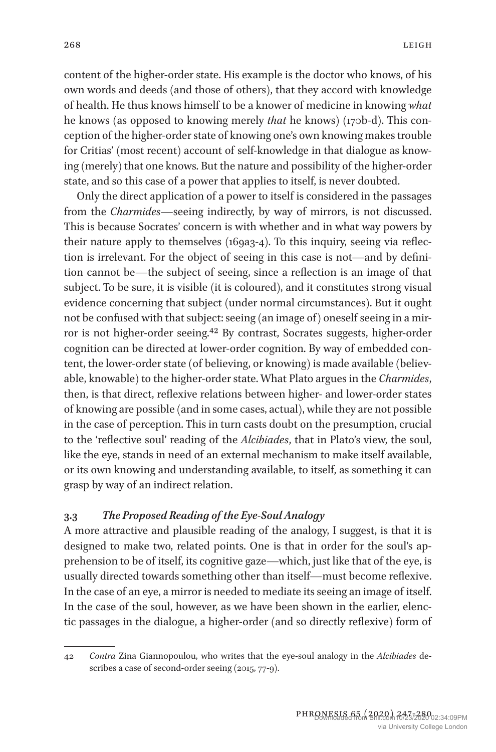content of the higher-order state. His example is the doctor who knows, of his own words and deeds (and those of others), that they accord with knowledge of health. He thus knows himself to be a knower of medicine in knowing *what* he knows (as opposed to knowing merely *that* he knows) (170b-d). This conception of the higher-order state of knowing one's own knowing makes trouble for Critias' (most recent) account of self-knowledge in that dialogue as knowing (merely) that one knows. But the nature and possibility of the higher-order state, and so this case of a power that applies to itself, is never doubted.

Only the direct application of a power to itself is considered in the passages from the *Charmides*—seeing indirectly, by way of mirrors, is not discussed. This is because Socrates' concern is with whether and in what way powers by their nature apply to themselves (169a3-4). To this inquiry, seeing via reflection is irrelevant. For the object of seeing in this case is not—and by definition cannot be—the subject of seeing, since a reflection is an image of that subject. To be sure, it is visible (it is coloured), and it constitutes strong visual evidence concerning that subject (under normal circumstances). But it ought not be confused with that subject: seeing (an image of) oneself seeing in a mirror is not higher-order seeing.42 By contrast, Socrates suggests, higher-order cognition can be directed at lower-order cognition. By way of embedded content, the lower-order state (of believing, or knowing) is made available (believable, knowable) to the higher-order state. What Plato argues in the *Charmides*, then, is that direct, reflexive relations between higher- and lower-order states of knowing are possible (and in some cases, actual), while they are not possible in the case of perception. This in turn casts doubt on the presumption, crucial to the 'reflective soul' reading of the *Alcibiades*, that in Plato's view, the soul, like the eye, stands in need of an external mechanism to make itself available, or its own knowing and understanding available, to itself, as something it can grasp by way of an indirect relation.

#### **3.3** *The Proposed Reading of the Eye-Soul Analogy*

A more attractive and plausible reading of the analogy, I suggest, is that it is designed to make two, related points. One is that in order for the soul's apprehension to be of itself, its cognitive gaze—which, just like that of the eye, is usually directed towards something other than itself—must become reflexive. In the case of an eye, a mirror is needed to mediate its seeing an image of itself. In the case of the soul, however, as we have been shown in the earlier, elenctic passages in the dialogue, a higher-order (and so directly reflexive) form of

<sup>42</sup>  *Contra* Zina Giannopoulou, who writes that the eye-soul analogy in the *Alcibiades* describes a case of second-order seeing (2015, 77-9).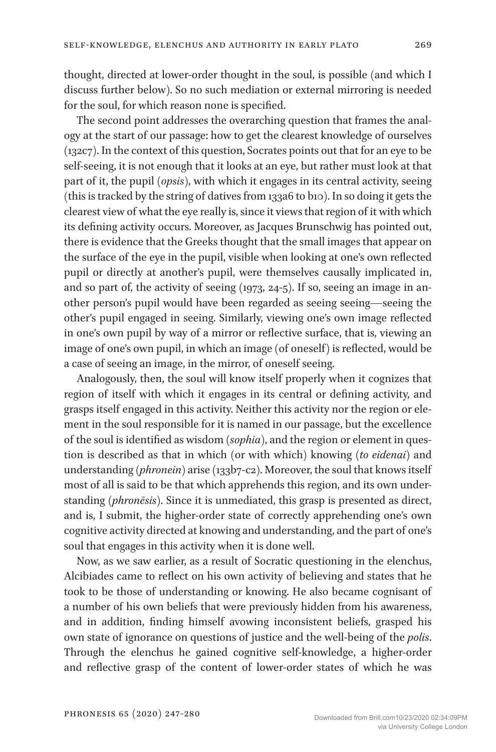thought, directed at lower-order thought in the soul, is possible (and which I discuss further below). So no such mediation or external mirroring is needed for the soul, for which reason none is specified.

The second point addresses the overarching question that frames the analogy at the start of our passage: how to get the clearest knowledge of ourselves (132c7). In the context of this question, Socrates points out that for an eye to be self-seeing, it is not enough that it looks at an eye, but rather must look at that part of it, the pupil (*opsis*), with which it engages in its central activity, seeing (this is tracked by the string of datives from 133a6 to b10). In so doing it gets the clearest view of what the eye really is, since it views that region of it with which its defining activity occurs. Moreover, as Jacques Brunschwig has pointed out, there is evidence that the Greeks thought that the small images that appear on the surface of the eye in the pupil, visible when looking at one's own reflected pupil or directly at another's pupil, were themselves causally implicated in, and so part of, the activity of seeing (1973, 24-5). If so, seeing an image in another person's pupil would have been regarded as seeing seeing—seeing the other's pupil engaged in seeing. Similarly, viewing one's own image reflected in one's own pupil by way of a mirror or reflective surface, that is, viewing an image of one's own pupil, in which an image (of oneself) is reflected, would be a case of seeing an image, in the mirror, of oneself seeing.

Analogously, then, the soul will know itself properly when it cognizes that region of itself with which it engages in its central or defining activity, and grasps itself engaged in this activity. Neither this activity nor the region or element in the soul responsible for it is named in our passage, but the excellence of the soul is identified as wisdom (*sophia*), and the region or element in question is described as that in which (or with which) knowing (*to eidenai*) and understanding (*phronein*) arise (133b7-c2). Moreover, the soul that knows itself most of all is said to be that which apprehends this region, and its own understanding (*phronēsis*). Since it is unmediated, this grasp is presented as direct, and is, I submit, the higher-order state of correctly apprehending one's own cognitive activity directed at knowing and understanding, and the part of one's soul that engages in this activity when it is done well.

Now, as we saw earlier, as a result of Socratic questioning in the elenchus, Alcibiades came to reflect on his own activity of believing and states that he took to be those of understanding or knowing. He also became cognisant of a number of his own beliefs that were previously hidden from his awareness, and in addition, finding himself avowing inconsistent beliefs, grasped his own state of ignorance on questions of justice and the well-being of the *polis*. Through the elenchus he gained cognitive self-knowledge, a higher-order and reflective grasp of the content of lower-order states of which he was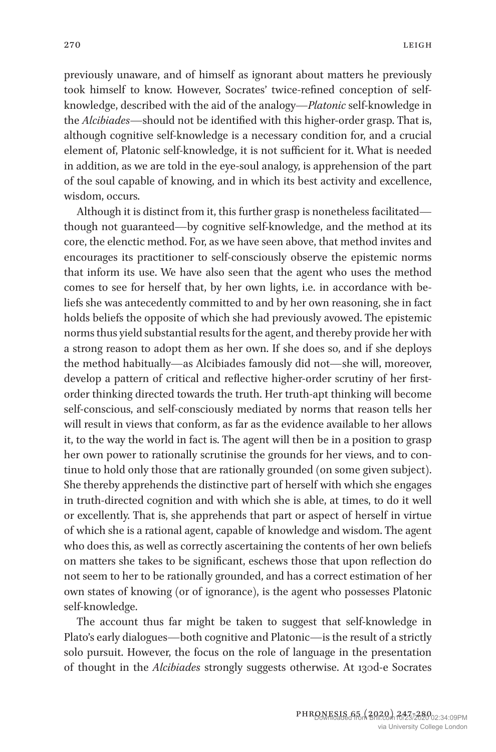previously unaware, and of himself as ignorant about matters he previously took himself to know. However, Socrates' twice-refined conception of selfknowledge, described with the aid of the analogy—*Platonic* self-knowledge in the *Alcibiades*—should not be identified with this higher-order grasp. That is, although cognitive self-knowledge is a necessary condition for, and a crucial element of, Platonic self-knowledge, it is not sufficient for it. What is needed in addition, as we are told in the eye-soul analogy, is apprehension of the part of the soul capable of knowing, and in which its best activity and excellence, wisdom, occurs.

Although it is distinct from it, this further grasp is nonetheless facilitated though not guaranteed—by cognitive self-knowledge, and the method at its core, the elenctic method. For, as we have seen above, that method invites and encourages its practitioner to self-consciously observe the epistemic norms that inform its use. We have also seen that the agent who uses the method comes to see for herself that, by her own lights, i.e. in accordance with beliefs she was antecedently committed to and by her own reasoning, she in fact holds beliefs the opposite of which she had previously avowed. The epistemic norms thus yield substantial results for the agent, and thereby provide her with a strong reason to adopt them as her own. If she does so, and if she deploys the method habitually—as Alcibiades famously did not—she will, moreover, develop a pattern of critical and reflective higher-order scrutiny of her firstorder thinking directed towards the truth. Her truth-apt thinking will become self-conscious, and self-consciously mediated by norms that reason tells her will result in views that conform, as far as the evidence available to her allows it, to the way the world in fact is. The agent will then be in a position to grasp her own power to rationally scrutinise the grounds for her views, and to continue to hold only those that are rationally grounded (on some given subject). She thereby apprehends the distinctive part of herself with which she engages in truth-directed cognition and with which she is able, at times, to do it well or excellently. That is, she apprehends that part or aspect of herself in virtue of which she is a rational agent, capable of knowledge and wisdom. The agent who does this, as well as correctly ascertaining the contents of her own beliefs on matters she takes to be significant, eschews those that upon reflection do not seem to her to be rationally grounded, and has a correct estimation of her own states of knowing (or of ignorance), is the agent who possesses Platonic self-knowledge.

The account thus far might be taken to suggest that self-knowledge in Plato's early dialogues—both cognitive and Platonic—is the result of a strictly solo pursuit. However, the focus on the role of language in the presentation of thought in the *Alcibiades* strongly suggests otherwise. At 130d-e Socrates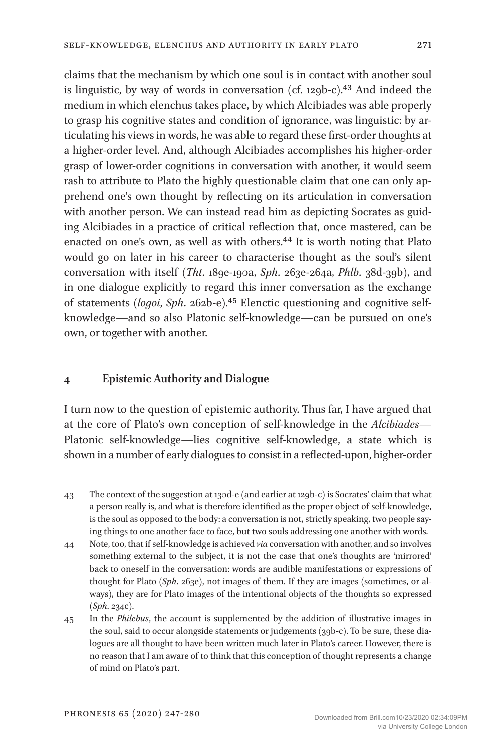claims that the mechanism by which one soul is in contact with another soul is linguistic, by way of words in conversation (cf. 129b-c).<sup>43</sup> And indeed the medium in which elenchus takes place, by which Alcibiades was able properly to grasp his cognitive states and condition of ignorance, was linguistic: by articulating his views in words, he was able to regard these first-order thoughts at a higher-order level. And, although Alcibiades accomplishes his higher-order grasp of lower-order cognitions in conversation with another, it would seem rash to attribute to Plato the highly questionable claim that one can only apprehend one's own thought by reflecting on its articulation in conversation with another person. We can instead read him as depicting Socrates as guiding Alcibiades in a practice of critical reflection that, once mastered, can be enacted on one's own, as well as with others.44 It is worth noting that Plato would go on later in his career to characterise thought as the soul's silent conversation with itself (*Tht*. 189e-190a, *Sph*. 263e-264a, *Phlb*. 38d-39b), and in one dialogue explicitly to regard this inner conversation as the exchange of statements (*logoi*, *Sph*. 262b-e).45 Elenctic questioning and cognitive selfknowledge—and so also Platonic self-knowledge—can be pursued on one's own, or together with another.

# **4 Epistemic Authority and Dialogue**

I turn now to the question of epistemic authority. Thus far, I have argued that at the core of Plato's own conception of self-knowledge in the *Alcibiades*— Platonic self-knowledge—lies cognitive self-knowledge, a state which is shown in a number of early dialogues to consist in a reflected-upon, higher-order

<sup>43</sup> The context of the suggestion at 130d-e (and earlier at 129b-c) is Socrates' claim that what a person really is, and what is therefore identified as the proper object of self-knowledge, is the soul as opposed to the body: a conversation is not, strictly speaking, two people saying things to one another face to face, but two souls addressing one another with words.

<sup>44</sup> Note, too, that if self-knowledge is achieved *via* conversation with another, and so involves something external to the subject, it is not the case that one's thoughts are 'mirrored' back to oneself in the conversation: words are audible manifestations or expressions of thought for Plato (*Sph*. 263e), not images of them. If they are images (sometimes, or always), they are for Plato images of the intentional objects of the thoughts so expressed (*Sph*. 234c).

<sup>45</sup> In the *Philebus*, the account is supplemented by the addition of illustrative images in the soul, said to occur alongside statements or judgements (39b-c). To be sure, these dialogues are all thought to have been written much later in Plato's career. However, there is no reason that I am aware of to think that this conception of thought represents a change of mind on Plato's part.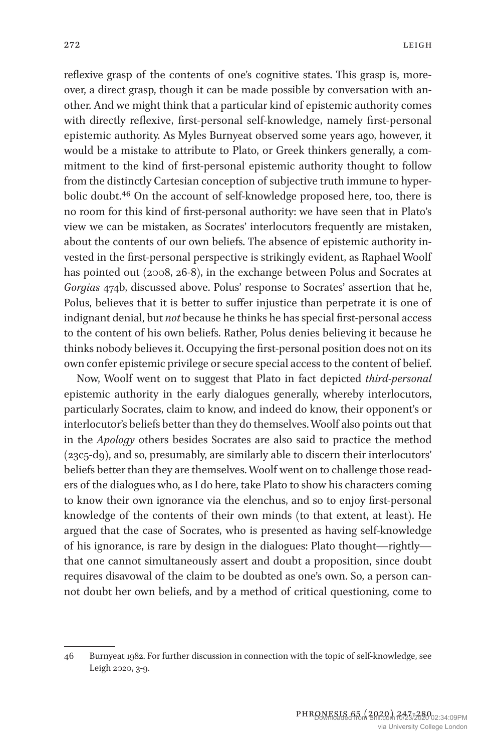reflexive grasp of the contents of one's cognitive states. This grasp is, moreover, a direct grasp, though it can be made possible by conversation with another. And we might think that a particular kind of epistemic authority comes with directly reflexive, first-personal self-knowledge, namely first-personal epistemic authority. As Myles Burnyeat observed some years ago, however, it would be a mistake to attribute to Plato, or Greek thinkers generally, a commitment to the kind of first-personal epistemic authority thought to follow from the distinctly Cartesian conception of subjective truth immune to hyperbolic doubt.46 On the account of self-knowledge proposed here, too, there is no room for this kind of first-personal authority: we have seen that in Plato's view we can be mistaken, as Socrates' interlocutors frequently are mistaken, about the contents of our own beliefs. The absence of epistemic authority invested in the first-personal perspective is strikingly evident, as Raphael Woolf has pointed out (2008, 26-8), in the exchange between Polus and Socrates at *Gorgias* 474b, discussed above. Polus' response to Socrates' assertion that he, Polus, believes that it is better to suffer injustice than perpetrate it is one of indignant denial, but *not* because he thinks he has special first-personal access to the content of his own beliefs. Rather, Polus denies believing it because he thinks nobody believes it. Occupying the first-personal position does not on its own confer epistemic privilege or secure special access to the content of belief.

Now, Woolf went on to suggest that Plato in fact depicted *third-personal* epistemic authority in the early dialogues generally, whereby interlocutors, particularly Socrates, claim to know, and indeed do know, their opponent's or interlocutor's beliefs better than they do themselves. Woolf also points out that in the *Apology* others besides Socrates are also said to practice the method (23c5-d9), and so, presumably, are similarly able to discern their interlocutors' beliefs better than they are themselves. Woolf went on to challenge those readers of the dialogues who, as I do here, take Plato to show his characters coming to know their own ignorance via the elenchus, and so to enjoy first-personal knowledge of the contents of their own minds (to that extent, at least). He argued that the case of Socrates, who is presented as having self-knowledge of his ignorance, is rare by design in the dialogues: Plato thought—rightly that one cannot simultaneously assert and doubt a proposition, since doubt requires disavowal of the claim to be doubted as one's own. So, a person cannot doubt her own beliefs, and by a method of critical questioning, come to

<sup>46</sup> Burnyeat 1982. For further discussion in connection with the topic of self-knowledge, see Leigh 2020, 3-9.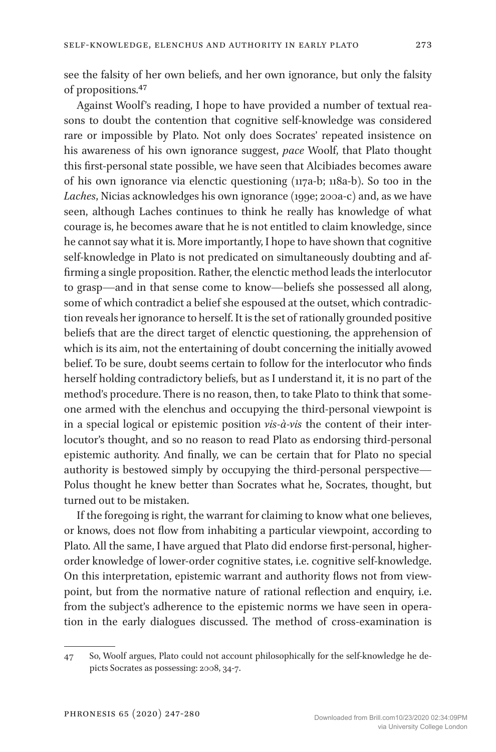see the falsity of her own beliefs, and her own ignorance, but only the falsity of propositions.47

Against Woolf's reading, I hope to have provided a number of textual reasons to doubt the contention that cognitive self-knowledge was considered rare or impossible by Plato. Not only does Socrates' repeated insistence on his awareness of his own ignorance suggest, *pace* Woolf, that Plato thought this first-personal state possible, we have seen that Alcibiades becomes aware of his own ignorance via elenctic questioning (117a-b; 118a-b). So too in the *Laches*, Nicias acknowledges his own ignorance (199e; 200a-c) and, as we have seen, although Laches continues to think he really has knowledge of what courage is, he becomes aware that he is not entitled to claim knowledge, since he cannot say what it is. More importantly, I hope to have shown that cognitive self-knowledge in Plato is not predicated on simultaneously doubting and affirming a single proposition. Rather, the elenctic method leads the interlocutor to grasp—and in that sense come to know—beliefs she possessed all along, some of which contradict a belief she espoused at the outset, which contradiction reveals her ignorance to herself. It is the set of rationally grounded positive beliefs that are the direct target of elenctic questioning, the apprehension of which is its aim, not the entertaining of doubt concerning the initially avowed belief. To be sure, doubt seems certain to follow for the interlocutor who finds herself holding contradictory beliefs, but as I understand it, it is no part of the method's procedure. There is no reason, then, to take Plato to think that someone armed with the elenchus and occupying the third-personal viewpoint is in a special logical or epistemic position *vis-à-vis* the content of their interlocutor's thought, and so no reason to read Plato as endorsing third-personal epistemic authority. And finally, we can be certain that for Plato no special authority is bestowed simply by occupying the third-personal perspective— Polus thought he knew better than Socrates what he, Socrates, thought, but turned out to be mistaken.

If the foregoing is right, the warrant for claiming to know what one believes, or knows, does not flow from inhabiting a particular viewpoint, according to Plato. All the same, I have argued that Plato did endorse first-personal, higherorder knowledge of lower-order cognitive states, i.e. cognitive self-knowledge. On this interpretation, epistemic warrant and authority flows not from viewpoint, but from the normative nature of rational reflection and enquiry, i.e. from the subject's adherence to the epistemic norms we have seen in operation in the early dialogues discussed. The method of cross-examination is

<sup>47</sup> So, Woolf argues, Plato could not account philosophically for the self-knowledge he depicts Socrates as possessing: 2008, 34-7.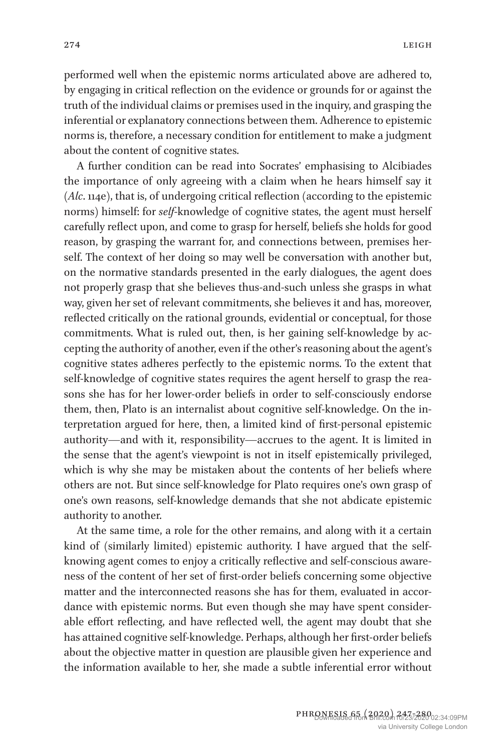performed well when the epistemic norms articulated above are adhered to, by engaging in critical reflection on the evidence or grounds for or against the truth of the individual claims or premises used in the inquiry, and grasping the inferential or explanatory connections between them. Adherence to epistemic norms is, therefore, a necessary condition for entitlement to make a judgment about the content of cognitive states.

A further condition can be read into Socrates' emphasising to Alcibiades the importance of only agreeing with a claim when he hears himself say it (*Alc*. 114e), that is, of undergoing critical reflection (according to the epistemic norms) himself: for *self*-knowledge of cognitive states, the agent must herself carefully reflect upon, and come to grasp for herself, beliefs she holds for good reason, by grasping the warrant for, and connections between, premises herself. The context of her doing so may well be conversation with another but, on the normative standards presented in the early dialogues, the agent does not properly grasp that she believes thus-and-such unless she grasps in what way, given her set of relevant commitments, she believes it and has, moreover, reflected critically on the rational grounds, evidential or conceptual, for those commitments. What is ruled out, then, is her gaining self-knowledge by accepting the authority of another, even if the other's reasoning about the agent's cognitive states adheres perfectly to the epistemic norms. To the extent that self-knowledge of cognitive states requires the agent herself to grasp the reasons she has for her lower-order beliefs in order to self-consciously endorse them, then, Plato is an internalist about cognitive self-knowledge. On the interpretation argued for here, then, a limited kind of first-personal epistemic authority—and with it, responsibility—accrues to the agent. It is limited in the sense that the agent's viewpoint is not in itself epistemically privileged, which is why she may be mistaken about the contents of her beliefs where others are not. But since self-knowledge for Plato requires one's own grasp of one's own reasons, self-knowledge demands that she not abdicate epistemic authority to another.

At the same time, a role for the other remains, and along with it a certain kind of (similarly limited) epistemic authority. I have argued that the selfknowing agent comes to enjoy a critically reflective and self-conscious awareness of the content of her set of first-order beliefs concerning some objective matter and the interconnected reasons she has for them, evaluated in accordance with epistemic norms. But even though she may have spent considerable effort reflecting, and have reflected well, the agent may doubt that she has attained cognitive self-knowledge. Perhaps, although her first-order beliefs about the objective matter in question are plausible given her experience and the information available to her, she made a subtle inferential error without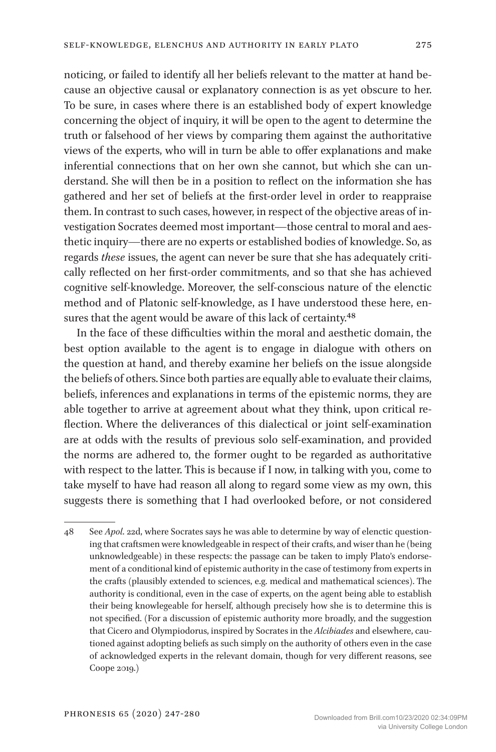noticing, or failed to identify all her beliefs relevant to the matter at hand because an objective causal or explanatory connection is as yet obscure to her. To be sure, in cases where there is an established body of expert knowledge concerning the object of inquiry, it will be open to the agent to determine the truth or falsehood of her views by comparing them against the authoritative views of the experts, who will in turn be able to offer explanations and make inferential connections that on her own she cannot, but which she can understand. She will then be in a position to reflect on the information she has gathered and her set of beliefs at the first-order level in order to reappraise them. In contrast to such cases, however, in respect of the objective areas of investigation Socrates deemed most important—those central to moral and aesthetic inquiry—there are no experts or established bodies of knowledge. So, as regards *these* issues, the agent can never be sure that she has adequately critically reflected on her first-order commitments, and so that she has achieved cognitive self-knowledge. Moreover, the self-conscious nature of the elenctic method and of Platonic self-knowledge, as I have understood these here, ensures that the agent would be aware of this lack of certainty.48

In the face of these difficulties within the moral and aesthetic domain, the best option available to the agent is to engage in dialogue with others on the question at hand, and thereby examine her beliefs on the issue alongside the beliefs of others. Since both parties are equally able to evaluate their claims, beliefs, inferences and explanations in terms of the epistemic norms, they are able together to arrive at agreement about what they think, upon critical reflection. Where the deliverances of this dialectical or joint self-examination are at odds with the results of previous solo self-examination, and provided the norms are adhered to, the former ought to be regarded as authoritative with respect to the latter. This is because if I now, in talking with you, come to take myself to have had reason all along to regard some view as my own, this suggests there is something that I had overlooked before, or not considered

<sup>48</sup> See *Apol*. 22d, where Socrates says he was able to determine by way of elenctic questioning that craftsmen were knowledgeable in respect of their crafts, and wiser than he (being unknowledgeable) in these respects: the passage can be taken to imply Plato's endorsement of a conditional kind of epistemic authority in the case of testimony from experts in the crafts (plausibly extended to sciences, e.g. medical and mathematical sciences). The authority is conditional, even in the case of experts, on the agent being able to establish their being knowlegeable for herself, although precisely how she is to determine this is not specified. (For a discussion of epistemic authority more broadly, and the suggestion that Cicero and Olympiodorus, inspired by Socrates in the *Alcibiades* and elsewhere, cautioned against adopting beliefs as such simply on the authority of others even in the case of acknowledged experts in the relevant domain, though for very different reasons, see Coope 2019.)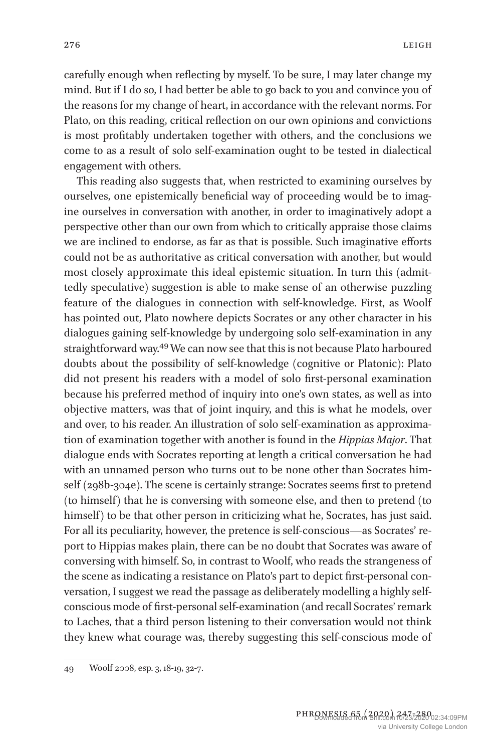carefully enough when reflecting by myself. To be sure, I may later change my mind. But if I do so, I had better be able to go back to you and convince you of the reasons for my change of heart, in accordance with the relevant norms. For Plato, on this reading, critical reflection on our own opinions and convictions is most profitably undertaken together with others, and the conclusions we come to as a result of solo self-examination ought to be tested in dialectical engagement with others.

This reading also suggests that, when restricted to examining ourselves by ourselves, one epistemically beneficial way of proceeding would be to imagine ourselves in conversation with another, in order to imaginatively adopt a perspective other than our own from which to critically appraise those claims we are inclined to endorse, as far as that is possible. Such imaginative efforts could not be as authoritative as critical conversation with another, but would most closely approximate this ideal epistemic situation. In turn this (admittedly speculative) suggestion is able to make sense of an otherwise puzzling feature of the dialogues in connection with self-knowledge. First, as Woolf has pointed out, Plato nowhere depicts Socrates or any other character in his dialogues gaining self-knowledge by undergoing solo self-examination in any straightforward way.49 We can now see that this is not because Plato harboured doubts about the possibility of self-knowledge (cognitive or Platonic): Plato did not present his readers with a model of solo first-personal examination because his preferred method of inquiry into one's own states, as well as into objective matters, was that of joint inquiry, and this is what he models, over and over, to his reader. An illustration of solo self-examination as approximation of examination together with another is found in the *Hippias Major*. That dialogue ends with Socrates reporting at length a critical conversation he had with an unnamed person who turns out to be none other than Socrates himself (298b-304e). The scene is certainly strange: Socrates seems first to pretend (to himself) that he is conversing with someone else, and then to pretend (to himself) to be that other person in criticizing what he, Socrates, has just said. For all its peculiarity, however, the pretence is self-conscious—as Socrates' report to Hippias makes plain, there can be no doubt that Socrates was aware of conversing with himself. So, in contrast to Woolf, who reads the strangeness of the scene as indicating a resistance on Plato's part to depict first-personal conversation, I suggest we read the passage as deliberately modelling a highly selfconscious mode of first-personalself-examination (and recall Socrates' remark to Laches, that a third person listening to their conversation would not think they knew what courage was, thereby suggesting this self-conscious mode of

<sup>49</sup> Woolf 2008, esp. 3, 18-19, 32-7.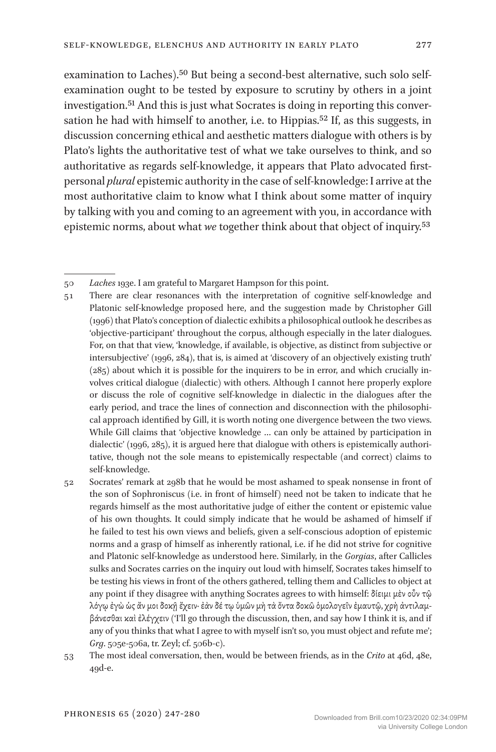examination to Laches).<sup>50</sup> But being a second-best alternative, such solo selfexamination ought to be tested by exposure to scrutiny by others in a joint investigation.51 And this is just what Socrates is doing in reporting this conversation he had with himself to another, i.e. to Hippias.<sup>52</sup> If, as this suggests, in discussion concerning ethical and aesthetic matters dialogue with others is by Plato's lights the authoritative test of what we take ourselves to think, and so authoritative as regards self-knowledge, it appears that Plato advocated firstpersonal *plural* epistemic authority in the case of self-knowledge: I arrive at the

most authoritative claim to know what I think about some matter of inquiry by talking with you and coming to an agreement with you, in accordance with epistemic norms, about what *we* together think about that object of inquiry.53

- 51 There are clear resonances with the interpretation of cognitive self-knowledge and Platonic self-knowledge proposed here, and the suggestion made by Christopher Gill (1996) that Plato's conception of dialectic exhibits a philosophical outlook he describes as 'objective-participant' throughout the corpus, although especially in the later dialogues. For, on that that view, 'knowledge, if available, is objective, as distinct from subjective or intersubjective' (1996, 284), that is, is aimed at 'discovery of an objectively existing truth' (285) about which it is possible for the inquirers to be in error, and which crucially involves critical dialogue (dialectic) with others. Although I cannot here properly explore or discuss the role of cognitive self-knowledge in dialectic in the dialogues after the early period, and trace the lines of connection and disconnection with the philosophical approach identified by Gill, it is worth noting one divergence between the two views. While Gill claims that 'objective knowledge … can only be attained by participation in dialectic' (1996, 285), it is argued here that dialogue with others is epistemically authoritative, though not the sole means to epistemically respectable (and correct) claims to self-knowledge.
- 52 Socrates' remark at 298b that he would be most ashamed to speak nonsense in front of the son of Sophroniscus (i.e. in front of himself) need not be taken to indicate that he regards himself as the most authoritative judge of either the content or epistemic value of his own thoughts. It could simply indicate that he would be ashamed of himself if he failed to test his own views and beliefs, given a self-conscious adoption of epistemic norms and a grasp of himself as inherently rational, i.e. if he did not strive for cognitive and Platonic self-knowledge as understood here. Similarly, in the *Gorgias*, after Callicles sulks and Socrates carries on the inquiry out loud with himself, Socrates takes himself to be testing his views in front of the others gathered, telling them and Callicles to object at any point if they disagree with anything Socrates agrees to with himself: δίειμι μὲν οὖν τῷ λόγῳ ἐγὼ ὡς ἄν μοι δοκῇ ἔχειν· ἐὰν δέ τῳ ὑμῶν μὴ τὰ ὄντα δοκῶ ὁμολογεῖν ἐμαυτῷ, χρὴ ἀντιλαμβάνεσθαι καὶ ἐλέγχειν ('I'll go through the discussion, then, and say how I think it is, and if any of you thinks that what I agree to with myself isn't so, you must object and refute me'; *Grg*. 505e-506a, tr. Zeyl; cf. 506b-c).
- 53 The most ideal conversation, then, would be between friends, as in the *Crito* at 46d, 48e, 49d-e.

<sup>50</sup>  *Laches* 193e. I am grateful to Margaret Hampson for this point.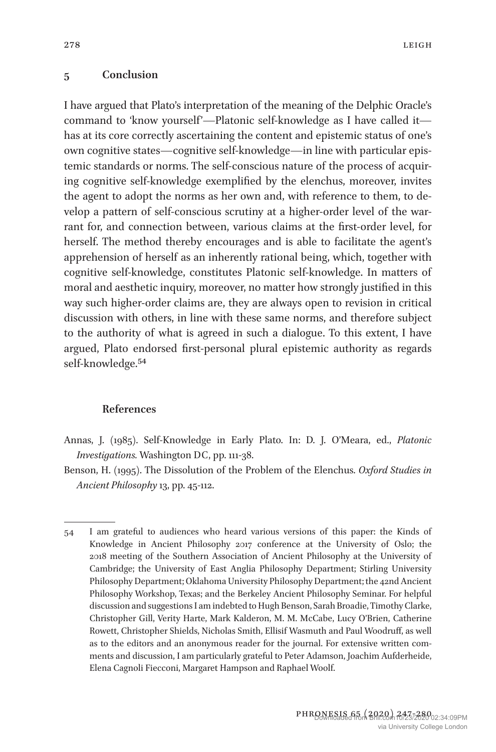#### **5 Conclusion**

I have argued that Plato's interpretation of the meaning of the Delphic Oracle's command to 'know yourself'—Platonic self-knowledge as I have called it has at its core correctly ascertaining the content and epistemic status of one's own cognitive states—cognitive self-knowledge—in line with particular epistemic standards or norms. The self-conscious nature of the process of acquiring cognitive self-knowledge exemplified by the elenchus, moreover, invites the agent to adopt the norms as her own and, with reference to them, to develop a pattern of self-conscious scrutiny at a higher-order level of the warrant for, and connection between, various claims at the first-order level, for herself. The method thereby encourages and is able to facilitate the agent's apprehension of herself as an inherently rational being, which, together with cognitive self-knowledge, constitutes Platonic self-knowledge. In matters of moral and aesthetic inquiry, moreover, no matter how strongly justified in this way such higher-order claims are, they are always open to revision in critical discussion with others, in line with these same norms, and therefore subject to the authority of what is agreed in such a dialogue. To this extent, I have argued, Plato endorsed first-personal plural epistemic authority as regards self-knowledge.54

#### **References**

Annas, J. (1985). Self-Knowledge in Early Plato. In: D. J. O'Meara, ed., *Platonic Investigations.* Washington DC, pp. 111-38.

Benson, H. (1995). The Dissolution of the Problem of the Elenchus. *Oxford Studies in Ancient Philosophy* 13, pp. 45-112.

<sup>54</sup> I am grateful to audiences who heard various versions of this paper: the Kinds of Knowledge in Ancient Philosophy 2017 conference at the University of Oslo; the 2018 meeting of the Southern Association of Ancient Philosophy at the University of Cambridge; the University of East Anglia Philosophy Department; Stirling University Philosophy Department; Oklahoma University Philosophy Department; the 42nd Ancient Philosophy Workshop, Texas; and the Berkeley Ancient Philosophy Seminar. For helpful discussion and suggestions I am indebted to Hugh Benson, Sarah Broadie, Timothy Clarke, Christopher Gill, Verity Harte, Mark Kalderon, M. M. McCabe, Lucy O'Brien, Catherine Rowett, Christopher Shields, Nicholas Smith, Ellisif Wasmuth and Paul Woodruff, as well as to the editors and an anonymous reader for the journal. For extensive written comments and discussion, I am particularly grateful to Peter Adamson, Joachim Aufderheide, Elena Cagnoli Fiecconi, Margaret Hampson and Raphael Woolf.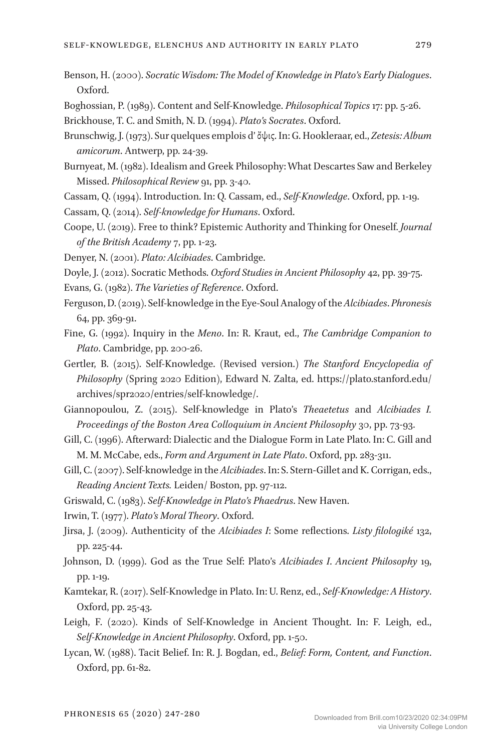Benson, H. (2000). *Socratic Wisdom: The Model of Knowledge in Plato's Early Dialogues*. Oxford.

Boghossian, P. (1989). Content and Self-Knowledge. *Philosophical Topics* 17: pp. 5-26.

Brickhouse, T. C. and Smith, N. D. (1994). *Plato's Socrates*. Oxford.

Brunschwig, J. (1973). Sur quelques emplois d' ὄψις. In: G. Hookleraar, ed., *Zetesis: Album amicorum*. Antwerp, pp. 24-39.

Burnyeat, M. (1982). Idealism and Greek Philosophy: What Descartes Saw and Berkeley Missed. *Philosophical Review* 91, pp. 3-40.

Cassam, Q. (1994). Introduction. In: Q. Cassam, ed., *Self-Knowledge*. Oxford, pp. 1-19.

Cassam, Q. (2014). *Self-knowledge for Humans*. Oxford.

- Coope, U. (2019). Free to think? Epistemic Authority and Thinking for Oneself. *Journal of the British Academy* 7, pp. 1-23.
- Denyer, N. (2001). *Plato: Alcibiades*. Cambridge.

Doyle, J. (2012). Socratic Methods. *Oxford Studies in Ancient Philosophy* 42, pp. 39-75.

- Evans, G. (1982). *The Varieties of Reference*. Oxford.
- Ferguson, D. (2019). Self-knowledge in the Eye-Soul Analogy of the *Alcibiades*. *Phronesis* 64, pp. 369-91.
- Fine, G. (1992). Inquiry in the *Meno*. In: R. Kraut, ed., *The Cambridge Companion to Plato*. Cambridge, pp. 200-26.
- Gertler, B. (2015). Self-Knowledge. (Revised version.) *The Stanford Encyclopedia of Philosophy* (Spring 2020 Edition), Edward N. Zalta, ed. https://plato.stanford.edu/ archives/spr2020/entries/self-knowledge/.

Giannopoulou, Z. (2015). Self-knowledge in Plato's *Theaetetus* and *Alcibiades I. Proceedings of the Boston Area Colloquium in Ancient Philosophy* 30, pp. 73-93.

- Gill, C. (1996). Afterward: Dialectic and the Dialogue Form in Late Plato. In: C. Gill and M. M. McCabe, eds., *Form and Argument in Late Plato*. Oxford, pp. 283-311.
- Gill, C. (2007). Self-knowledge in the *Alcibiades*. In: S. Stern-Gillet and K. Corrigan, eds., *Reading Ancient Texts.* Leiden/ Boston, pp. 97-112.

Griswald, C. (1983). *Self-Knowledge in Plato's Phaedrus*. New Haven.

Irwin, T. (1977). *Plato's Moral Theory*. Oxford.

- Jirsa, J. (2009). Authenticity of the *Alcibiades I*: Some reflections. *Listy filologiké* 132, pp. 225-44.
- Johnson, D. (1999). God as the True Self: Plato's *Alcibiades I*. *Ancient Philosophy* 19, pp. 1-19.
- Kamtekar, R. (2017). Self-Knowledge in Plato. In: U. Renz, ed., *Self-Knowledge: A History*. Oxford, pp. 25-43.
- Leigh, F. (2020). Kinds of Self-Knowledge in Ancient Thought. In: F. Leigh, ed., *Self-Knowledge in Ancient Philosophy*. Oxford, pp. 1-50.
- Lycan, W. (1988). Tacit Belief. In: R. J. Bogdan, ed., *Belief: Form, Content, and Function*. Oxford, pp. 61-82.